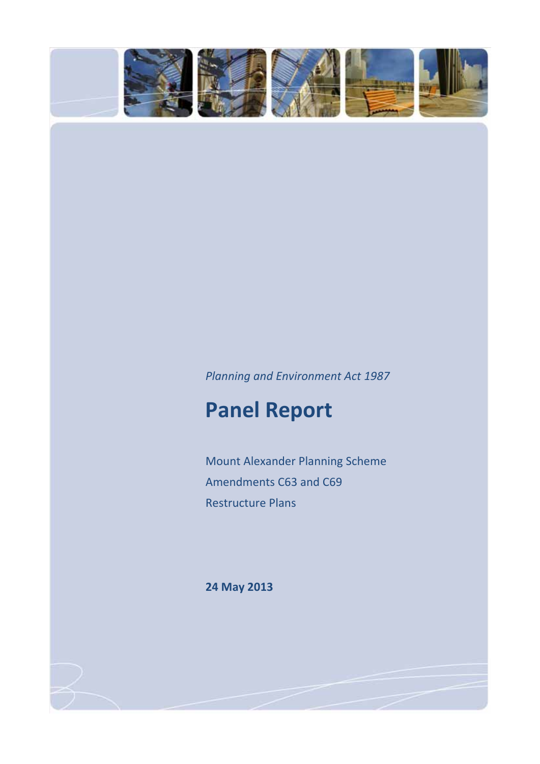

## *Planning and Environment Act 1987*

# **Panel Report**

Mount Alexander Planning Scheme Amendments C63 and C69 Restructure Plans

**24 May 2013**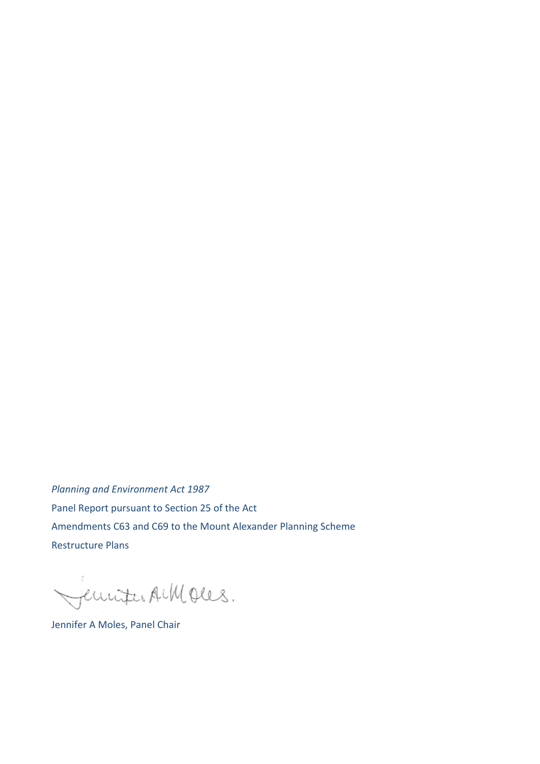*Planning and Environment Act 1987* Panel Report pursuant to Section 25 of the Act Amendments C63 and C69 to the Mount Alexander Planning Scheme Restructure Plans

Jemmer AMOUS.

Jennifer A Moles, Panel Chair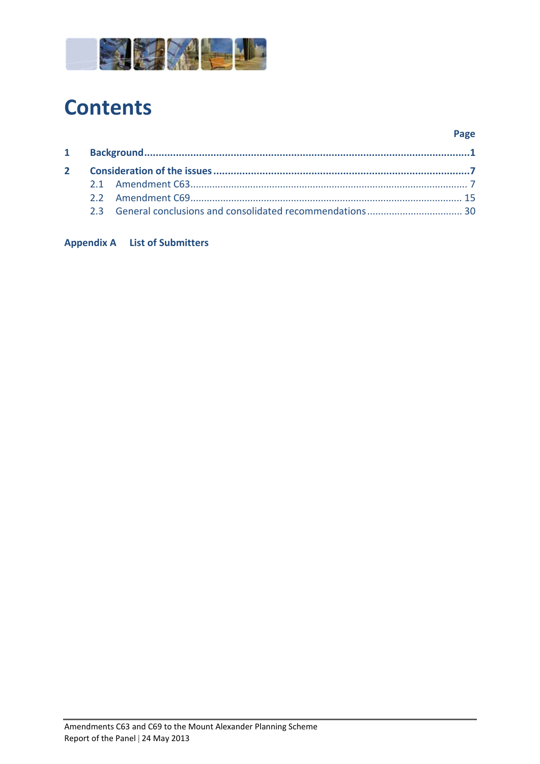

# **Contents**

#### **Page**

#### **Appendix A List of Submitters**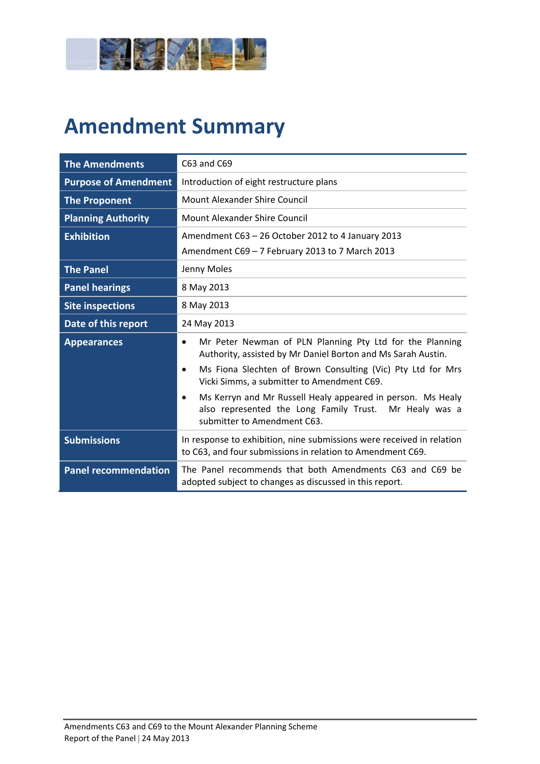

# **Amendment Summary**

| <b>The Amendments</b>       | C63 and C69                                                                                                                                                       |  |  |
|-----------------------------|-------------------------------------------------------------------------------------------------------------------------------------------------------------------|--|--|
| <b>Purpose of Amendment</b> | Introduction of eight restructure plans                                                                                                                           |  |  |
| <b>The Proponent</b>        | <b>Mount Alexander Shire Council</b>                                                                                                                              |  |  |
| <b>Planning Authority</b>   | <b>Mount Alexander Shire Council</b>                                                                                                                              |  |  |
| <b>Exhibition</b>           | Amendment C63 - 26 October 2012 to 4 January 2013                                                                                                                 |  |  |
|                             | Amendment C69 - 7 February 2013 to 7 March 2013                                                                                                                   |  |  |
| <b>The Panel</b>            | Jenny Moles                                                                                                                                                       |  |  |
| <b>Panel hearings</b>       | 8 May 2013                                                                                                                                                        |  |  |
| <b>Site inspections</b>     | 8 May 2013                                                                                                                                                        |  |  |
| Date of this report         | 24 May 2013                                                                                                                                                       |  |  |
| <b>Appearances</b>          | Mr Peter Newman of PLN Planning Pty Ltd for the Planning<br>$\bullet$<br>Authority, assisted by Mr Daniel Borton and Ms Sarah Austin.                             |  |  |
|                             | Ms Fiona Slechten of Brown Consulting (Vic) Pty Ltd for Mrs<br>$\bullet$<br>Vicki Simms, a submitter to Amendment C69.                                            |  |  |
|                             | Ms Kerryn and Mr Russell Healy appeared in person. Ms Healy<br>$\bullet$<br>also represented the Long Family Trust. Mr Healy was a<br>submitter to Amendment C63. |  |  |
| <b>Submissions</b>          | In response to exhibition, nine submissions were received in relation<br>to C63, and four submissions in relation to Amendment C69.                               |  |  |
| <b>Panel recommendation</b> | The Panel recommends that both Amendments C63 and C69 be<br>adopted subject to changes as discussed in this report.                                               |  |  |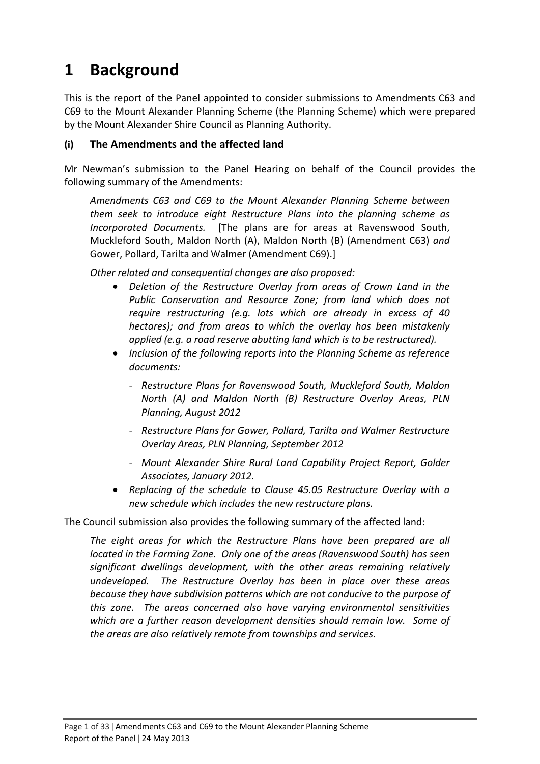## **1 Background**

This is the report of the Panel appointed to consider submissions to Amendments C63 and C69 to the Mount Alexander Planning Scheme (the Planning Scheme) which were prepared by the Mount Alexander Shire Council as Planning Authority.

#### **(i) The Amendments and the affected land**

Mr Newman's submission to the Panel Hearing on behalf of the Council provides the following summary of the Amendments:

*Amendments C63 and C69 to the Mount Alexander Planning Scheme between them seek to introduce eight Restructure Plans into the planning scheme as Incorporated Documents.*  [The plans are for areas at Ravenswood South, Muckleford South, Maldon North (A), Maldon North (B) (Amendment C63) *and* Gower, Pollard, Tarilta and Walmer (Amendment C69).]

*Other related and consequential changes are also proposed:*

- *Deletion of the Restructure Overlay from areas of Crown Land in the Public Conservation and Resource Zone; from land which does not require restructuring (e.g. lots which are already in excess of 40 hectares); and from areas to which the overlay has been mistakenly applied (e.g. a road reserve abutting land which is to be restructured).*
- *Inclusion of the following reports into the Planning Scheme as reference documents:*
	- *‐ Restructure Plans for Ravenswood South, Muckleford South, Maldon North (A) and Maldon North (B) Restructure Overlay Areas, PLN Planning, August 2012*
	- *‐ Restructure Plans for Gower, Pollard, Tarilta and Walmer Restructure Overlay Areas, PLN Planning, September 2012*
	- *‐ Mount Alexander Shire Rural Land Capability Project Report, Golder Associates, January 2012.*
- *Replacing of the schedule to Clause 45.05 Restructure Overlay with a new schedule which includes the new restructure plans.*

The Council submission also provides the following summary of the affected land:

*The eight areas for which the Restructure Plans have been prepared are all located in the Farming Zone. Only one of the areas (Ravenswood South) has seen significant dwellings development, with the other areas remaining relatively undeveloped. The Restructure Overlay has been in place over these areas because they have subdivision patterns which are not conducive to the purpose of this zone. The areas concerned also have varying environmental sensitivities which are a further reason development densities should remain low. Some of the areas are also relatively remote from townships and services.*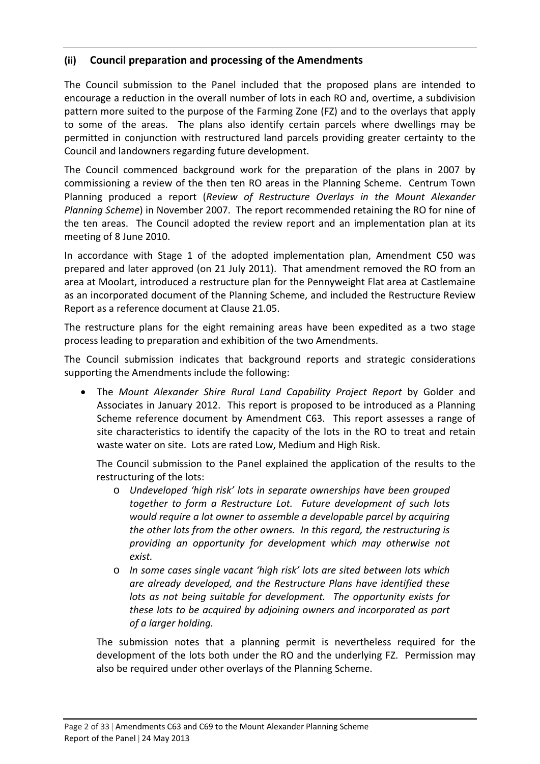#### **(ii) Council preparation and processing of the Amendments**

The Council submission to the Panel included that the proposed plans are intended to encourage a reduction in the overall number of lots in each RO and, overtime, a subdivision pattern more suited to the purpose of the Farming Zone (FZ) and to the overlays that apply to some of the areas. The plans also identify certain parcels where dwellings may be permitted in conjunction with restructured land parcels providing greater certainty to the Council and landowners regarding future development.

The Council commenced background work for the preparation of the plans in 2007 by commissioning a review of the then ten RO areas in the Planning Scheme. Centrum Town Planning produced a report (*Review of Restructure Overlays in the Mount Alexander Planning Scheme*) in November 2007. The report recommended retaining the RO for nine of the ten areas. The Council adopted the review report and an implementation plan at its meeting of 8 June 2010.

In accordance with Stage 1 of the adopted implementation plan, Amendment C50 was prepared and later approved (on 21 July 2011). That amendment removed the RO from an area at Moolart, introduced a restructure plan for the Pennyweight Flat area at Castlemaine as an incorporated document of the Planning Scheme, and included the Restructure Review Report as a reference document at Clause 21.05.

The restructure plans for the eight remaining areas have been expedited as a two stage process leading to preparation and exhibition of the two Amendments.

The Council submission indicates that background reports and strategic considerations supporting the Amendments include the following:

 The *Mount Alexander Shire Rural Land Capability Project Report* by Golder and Associates in January 2012. This report is proposed to be introduced as a Planning Scheme reference document by Amendment C63. This report assesses a range of site characteristics to identify the capacity of the lots in the RO to treat and retain waste water on site. Lots are rated Low, Medium and High Risk.

The Council submission to the Panel explained the application of the results to the restructuring of the lots:

- o *Undeveloped 'high risk' lots in separate ownerships have been grouped together to form a Restructure Lot. Future development of such lots would require a lot owner to assemble a developable parcel by acquiring the other lots from the other owners. In this regard, the restructuring is providing an opportunity for development which may otherwise not exist.*
- o *In some cases single vacant 'high risk' lots are sited between lots which are already developed, and the Restructure Plans have identified these lots as not being suitable for development. The opportunity exists for these lots to be acquired by adjoining owners and incorporated as part of a larger holding.*

The submission notes that a planning permit is nevertheless required for the development of the lots both under the RO and the underlying FZ. Permission may also be required under other overlays of the Planning Scheme.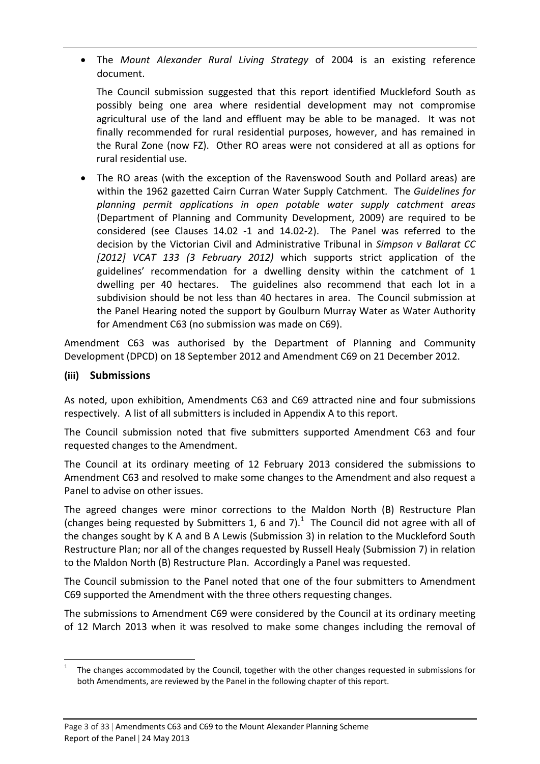The *Mount Alexander Rural Living Strategy* of 2004 is an existing reference document.

The Council submission suggested that this report identified Muckleford South as possibly being one area where residential development may not compromise agricultural use of the land and effluent may be able to be managed. It was not finally recommended for rural residential purposes, however, and has remained in the Rural Zone (now FZ). Other RO areas were not considered at all as options for rural residential use.

 The RO areas (with the exception of the Ravenswood South and Pollard areas) are within the 1962 gazetted Cairn Curran Water Supply Catchment. The *Guidelines for planning permit applications in open potable water supply catchment areas* (Department of Planning and Community Development, 2009) are required to be considered (see Clauses 14.02 -1 and 14.02-2). The Panel was referred to the decision by the Victorian Civil and Administrative Tribunal in *Simpson v Ballarat CC [2012] VCAT 133 (3 February 2012)* which supports strict application of the guidelines' recommendation for a dwelling density within the catchment of 1 dwelling per 40 hectares. The guidelines also recommend that each lot in a subdivision should be not less than 40 hectares in area. The Council submission at the Panel Hearing noted the support by Goulburn Murray Water as Water Authority for Amendment C63 (no submission was made on C69).

Amendment C63 was authorised by the Department of Planning and Community Development (DPCD) on 18 September 2012 and Amendment C69 on 21 December 2012.

#### **(iii) Submissions**

As noted, upon exhibition, Amendments C63 and C69 attracted nine and four submissions respectively. A list of all submitters is included in Appendix A to this report.

The Council submission noted that five submitters supported Amendment C63 and four requested changes to the Amendment.

The Council at its ordinary meeting of 12 February 2013 considered the submissions to Amendment C63 and resolved to make some changes to the Amendment and also request a Panel to advise on other issues.

The agreed changes were minor corrections to the Maldon North (B) Restructure Plan (changes being requested by Submitters 1, 6 and 7). $<sup>1</sup>$  The Council did not agree with all of</sup> the changes sought by K A and B A Lewis (Submission 3) in relation to the Muckleford South Restructure Plan; nor all of the changes requested by Russell Healy (Submission 7) in relation to the Maldon North (B) Restructure Plan. Accordingly a Panel was requested.

The Council submission to the Panel noted that one of the four submitters to Amendment C69 supported the Amendment with the three others requesting changes.

The submissions to Amendment C69 were considered by the Council at its ordinary meeting of 12 March 2013 when it was resolved to make some changes including the removal of

<sup>1</sup> The changes accommodated by the Council, together with the other changes requested in submissions for both Amendments, are reviewed by the Panel in the following chapter of this report.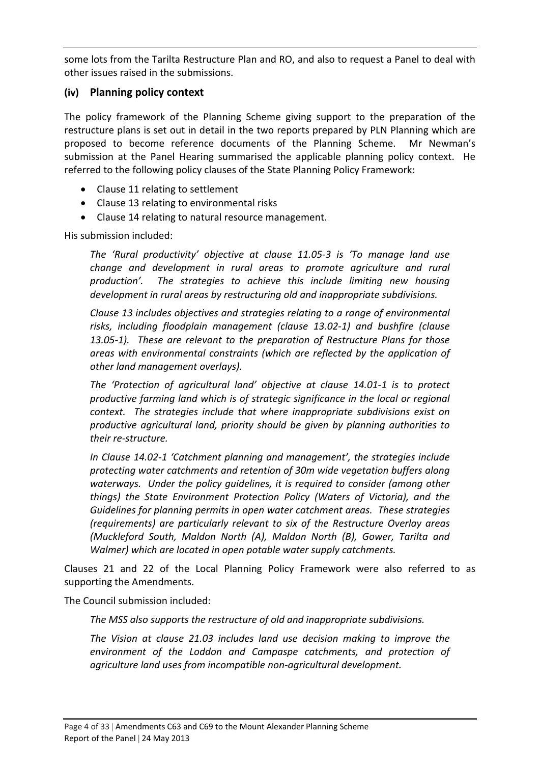some lots from the Tarilta Restructure Plan and RO, and also to request a Panel to deal with other issues raised in the submissions.

#### **(iv) Planning policy context**

The policy framework of the Planning Scheme giving support to the preparation of the restructure plans is set out in detail in the two reports prepared by PLN Planning which are proposed to become reference documents of the Planning Scheme. Mr Newman's submission at the Panel Hearing summarised the applicable planning policy context. He referred to the following policy clauses of the State Planning Policy Framework:

- Clause 11 relating to settlement
- Clause 13 relating to environmental risks
- Clause 14 relating to natural resource management.

His submission included:

*The 'Rural productivity' objective at clause 11.05‐3 is 'To manage land use change and development in rural areas to promote agriculture and rural production'. The strategies to achieve this include limiting new housing development in rural areas by restructuring old and inappropriate subdivisions.*

*Clause 13 includes objectives and strategies relating to a range of environmental risks, including floodplain management (clause 13.02‐1) and bushfire (clause 13.05‐1). These are relevant to the preparation of Restructure Plans for those areas with environmental constraints (which are reflected by the application of other land management overlays).*

*The 'Protection of agricultural land' objective at clause 14.01‐1 is to protect productive farming land which is of strategic significance in the local or regional context. The strategies include that where inappropriate subdivisions exist on productive agricultural land, priority should be given by planning authorities to their re‐structure.*

*In Clause 14.02‐1 'Catchment planning and management', the strategies include protecting water catchments and retention of 30m wide vegetation buffers along waterways. Under the policy guidelines, it is required to consider (among other things) the State Environment Protection Policy (Waters of Victoria), and the Guidelines for planning permits in open water catchment areas. These strategies (requirements) are particularly relevant to six of the Restructure Overlay areas (Muckleford South, Maldon North (A), Maldon North (B), Gower, Tarilta and Walmer) which are located in open potable water supply catchments.*

Clauses 21 and 22 of the Local Planning Policy Framework were also referred to as supporting the Amendments.

The Council submission included:

*The MSS also supports the restructure of old and inappropriate subdivisions.*

*The Vision at clause 21.03 includes land use decision making to improve the environment of the Loddon and Campaspe catchments, and protection of agriculture land uses from incompatible non‐agricultural development.*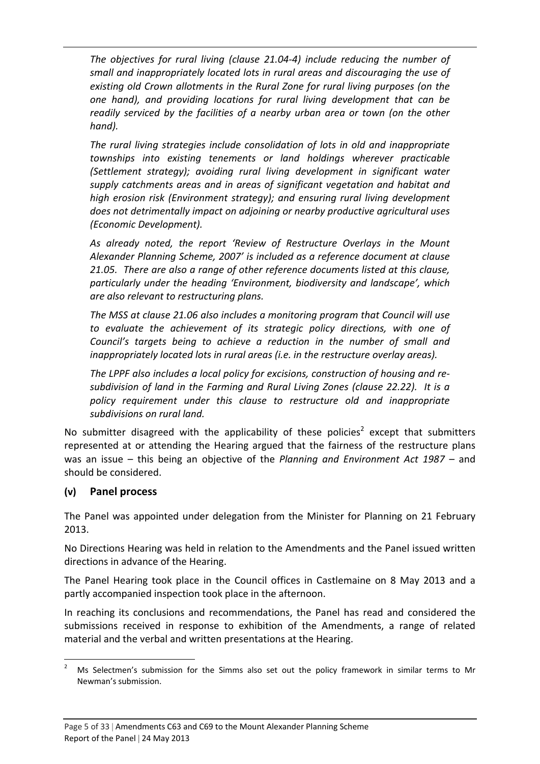*The objectives for rural living (clause 21.04‐4) include reducing the number of small and inappropriately located lots in rural areas and discouraging the use of existing old Crown allotments in the Rural Zone for rural living purposes (on the one hand), and providing locations for rural living development that can be readily serviced by the facilities of a nearby urban area or town (on the other hand).*

*The rural living strategies include consolidation of lots in old and inappropriate townships into existing tenements or land holdings wherever practicable (Settlement strategy); avoiding rural living development in significant water supply catchments areas and in areas of significant vegetation and habitat and high erosion risk (Environment strategy); and ensuring rural living development does not detrimentally impact on adjoining or nearby productive agricultural uses (Economic Development).*

*As already noted, the report 'Review of Restructure Overlays in the Mount Alexander Planning Scheme, 2007' is included as a reference document at clause 21.05. There are also a range of other reference documents listed at this clause, particularly under the heading 'Environment, biodiversity and landscape', which are also relevant to restructuring plans.*

*The MSS at clause 21.06 also includes a monitoring program that Council will use to evaluate the achievement of its strategic policy directions, with one of Council's targets being to achieve a reduction in the number of small and inappropriately located lots in rural areas (i.e. in the restructure overlay areas).*

*The LPPF also includes a local policy for excisions, construction of housing and re‐ subdivision of land in the Farming and Rural Living Zones (clause 22.22). It is a policy requirement under this clause to restructure old and inappropriate subdivisions on rural land.*

No submitter disagreed with the applicability of these policies<sup>2</sup> except that submitters represented at or attending the Hearing argued that the fairness of the restructure plans was an issue – this being an objective of the *Planning and Environment Act 1987 –* and should be considered.

#### **(v) Panel process**

The Panel was appointed under delegation from the Minister for Planning on 21 February 2013.

No Directions Hearing was held in relation to the Amendments and the Panel issued written directions in advance of the Hearing.

The Panel Hearing took place in the Council offices in Castlemaine on 8 May 2013 and a partly accompanied inspection took place in the afternoon.

In reaching its conclusions and recommendations, the Panel has read and considered the submissions received in response to exhibition of the Amendments, a range of related material and the verbal and written presentations at the Hearing.

 <sup>2</sup> Ms Selectmen's submission for the Simms also set out the policy framework in similar terms to Mr Newman's submission.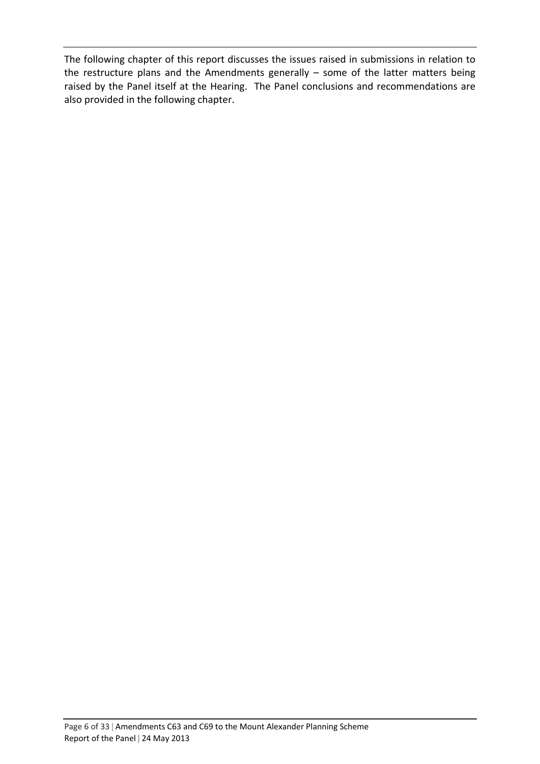The following chapter of this report discusses the issues raised in submissions in relation to the restructure plans and the Amendments generally – some of the latter matters being raised by the Panel itself at the Hearing. The Panel conclusions and recommendations are also provided in the following chapter.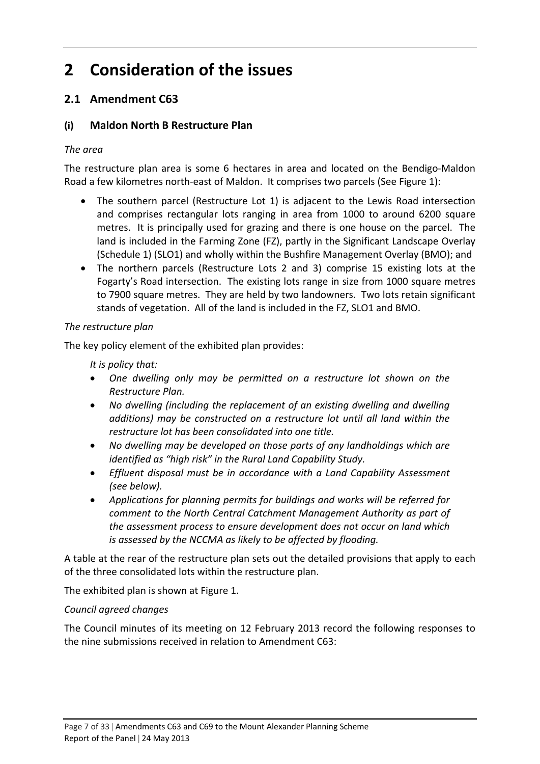# **2 Consideration of the issues**

### **2.1 Amendment C63**

#### **(i) Maldon North B Restructure Plan**

#### *The area*

The restructure plan area is some 6 hectares in area and located on the Bendigo‐Maldon Road a few kilometres north‐east of Maldon. It comprises two parcels (See Figure 1):

- The southern parcel (Restructure Lot 1) is adjacent to the Lewis Road intersection and comprises rectangular lots ranging in area from 1000 to around 6200 square metres. It is principally used for grazing and there is one house on the parcel. The land is included in the Farming Zone (FZ), partly in the Significant Landscape Overlay (Schedule 1) (SLO1) and wholly within the Bushfire Management Overlay (BMO); and
- The northern parcels (Restructure Lots 2 and 3) comprise 15 existing lots at the Fogarty's Road intersection. The existing lots range in size from 1000 square metres to 7900 square metres. They are held by two landowners. Two lots retain significant stands of vegetation. All of the land is included in the FZ, SLO1 and BMO.

#### *The restructure plan*

The key policy element of the exhibited plan provides:

*It is policy that:*

- *One dwelling only may be permitted on a restructure lot shown on the Restructure Plan.*
- *No dwelling (including the replacement of an existing dwelling and dwelling additions) may be constructed on a restructure lot until all land within the restructure lot has been consolidated into one title.*
- *No dwelling may be developed on those parts of any landholdings which are identified as "high risk" in the Rural Land Capability Study.*
- *Effluent disposal must be in accordance with a Land Capability Assessment (see below).*
- *Applications for planning permits for buildings and works will be referred for comment to the North Central Catchment Management Authority as part of the assessment process to ensure development does not occur on land which is assessed by the NCCMA as likely to be affected by flooding.*

A table at the rear of the restructure plan sets out the detailed provisions that apply to each of the three consolidated lots within the restructure plan.

The exhibited plan is shown at Figure 1.

#### *Council agreed changes*

The Council minutes of its meeting on 12 February 2013 record the following responses to the nine submissions received in relation to Amendment C63: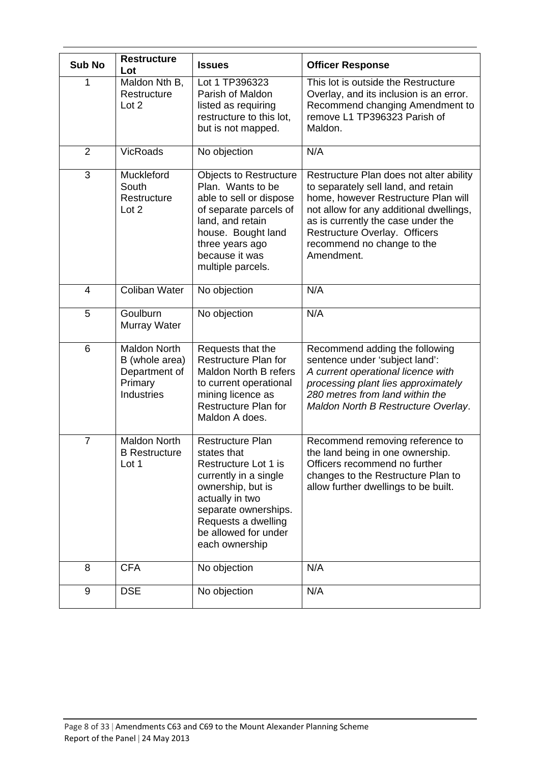| <b>Sub No</b>  | <b>Restructure</b><br>Lot                                                       | <b>Issues</b>                                                                                                                                                                                                     | <b>Officer Response</b>                                                                                                                                                                                                                                                             |
|----------------|---------------------------------------------------------------------------------|-------------------------------------------------------------------------------------------------------------------------------------------------------------------------------------------------------------------|-------------------------------------------------------------------------------------------------------------------------------------------------------------------------------------------------------------------------------------------------------------------------------------|
|                | Maldon Nth B,<br>Restructure<br>Lot 2                                           | Lot 1 TP396323<br>Parish of Maldon<br>listed as requiring<br>restructure to this lot,<br>but is not mapped.                                                                                                       | This lot is outside the Restructure<br>Overlay, and its inclusion is an error.<br>Recommend changing Amendment to<br>remove L1 TP396323 Parish of<br>Maldon.                                                                                                                        |
| $\overline{2}$ | <b>VicRoads</b>                                                                 | No objection                                                                                                                                                                                                      | N/A                                                                                                                                                                                                                                                                                 |
| 3              | Muckleford<br>South<br>Restructure<br>Lot 2                                     | <b>Objects to Restructure</b><br>Plan. Wants to be<br>able to sell or dispose<br>of separate parcels of<br>land, and retain<br>house. Bought land<br>three years ago<br>because it was<br>multiple parcels.       | Restructure Plan does not alter ability<br>to separately sell land, and retain<br>home, however Restructure Plan will<br>not allow for any additional dwellings,<br>as is currently the case under the<br>Restructure Overlay. Officers<br>recommend no change to the<br>Amendment. |
| $\overline{4}$ | Coliban Water                                                                   | No objection                                                                                                                                                                                                      | N/A                                                                                                                                                                                                                                                                                 |
| 5              | Goulburn<br>Murray Water                                                        | No objection                                                                                                                                                                                                      | N/A                                                                                                                                                                                                                                                                                 |
| 6              | <b>Maldon North</b><br>B (whole area)<br>Department of<br>Primary<br>Industries | Requests that the<br>Restructure Plan for<br><b>Maldon North B refers</b><br>to current operational<br>mining licence as<br><b>Restructure Plan for</b><br>Maldon A does.                                         | Recommend adding the following<br>sentence under 'subject land':<br>A current operational licence with<br>processing plant lies approximately<br>280 metres from land within the<br>Maldon North B Restructure Overlay.                                                             |
| $\overline{7}$ | <b>Maldon North</b><br><b>B</b> Restructure<br>Lot 1                            | Restructure Plan<br>states that<br>Restructure Lot 1 is<br>currently in a single<br>ownership, but is<br>actually in two<br>separate ownerships.<br>Requests a dwelling<br>be allowed for under<br>each ownership | Recommend removing reference to<br>the land being in one ownership.<br>Officers recommend no further<br>changes to the Restructure Plan to<br>allow further dwellings to be built.                                                                                                  |
| 8              | <b>CFA</b>                                                                      | No objection                                                                                                                                                                                                      | N/A                                                                                                                                                                                                                                                                                 |
| 9              | <b>DSE</b>                                                                      | No objection                                                                                                                                                                                                      | N/A                                                                                                                                                                                                                                                                                 |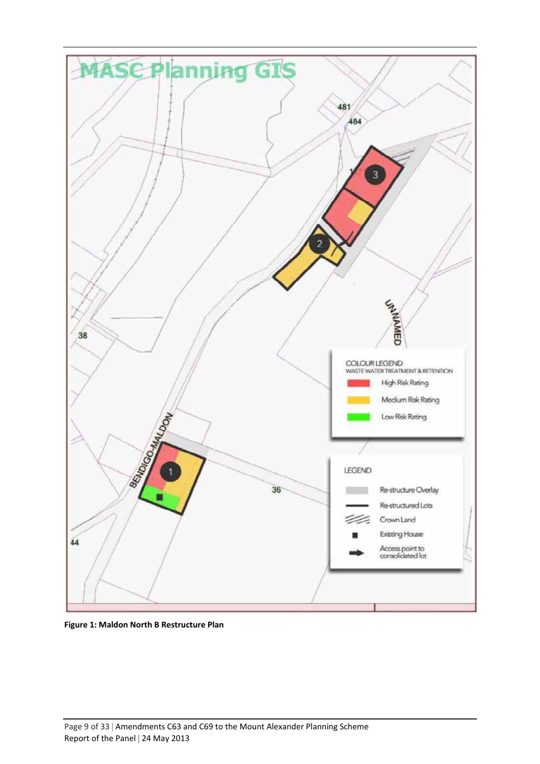

**Figure 1: Maldon North B Restructure Plan**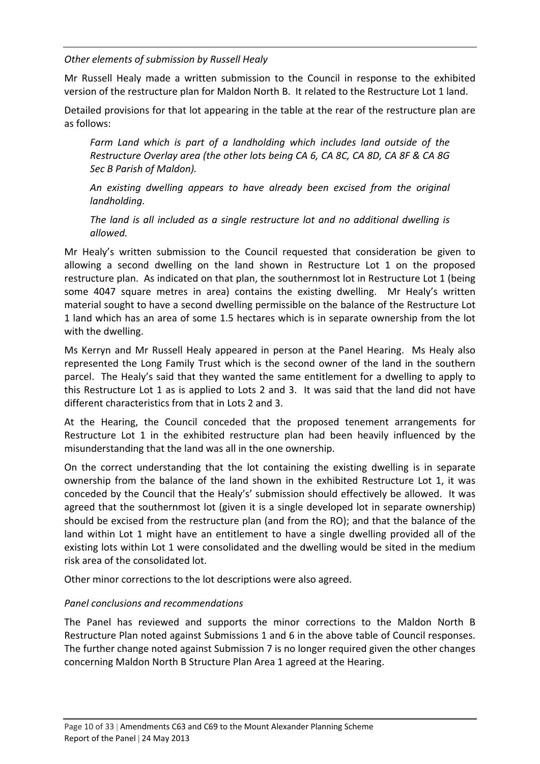*Other elements of submission by Russell Healy*

Mr Russell Healy made a written submission to the Council in response to the exhibited version of the restructure plan for Maldon North B. It related to the Restructure Lot 1 land.

Detailed provisions for that lot appearing in the table at the rear of the restructure plan are as follows:

*Farm Land which is part of a landholding which includes land outside of the Restructure Overlay area (the other lots being CA 6, CA 8C, CA 8D, CA 8F & CA 8G Sec B Parish of Maldon).*

*An existing dwelling appears to have already been excised from the original landholding.*

*The land is all included as a single restructure lot and no additional dwelling is allowed.*

Mr Healy's written submission to the Council requested that consideration be given to allowing a second dwelling on the land shown in Restructure Lot 1 on the proposed restructure plan. As indicated on that plan, the southernmost lot in Restructure Lot 1 (being some 4047 square metres in area) contains the existing dwelling. Mr Healy's written material sought to have a second dwelling permissible on the balance of the Restructure Lot 1 land which has an area of some 1.5 hectares which is in separate ownership from the lot with the dwelling.

Ms Kerryn and Mr Russell Healy appeared in person at the Panel Hearing. Ms Healy also represented the Long Family Trust which is the second owner of the land in the southern parcel. The Healy's said that they wanted the same entitlement for a dwelling to apply to this Restructure Lot 1 as is applied to Lots 2 and 3. It was said that the land did not have different characteristics from that in Lots 2 and 3.

At the Hearing, the Council conceded that the proposed tenement arrangements for Restructure Lot 1 in the exhibited restructure plan had been heavily influenced by the misunderstanding that the land was all in the one ownership.

On the correct understanding that the lot containing the existing dwelling is in separate ownership from the balance of the land shown in the exhibited Restructure Lot 1, it was conceded by the Council that the Healy's' submission should effectively be allowed. It was agreed that the southernmost lot (given it is a single developed lot in separate ownership) should be excised from the restructure plan (and from the RO); and that the balance of the land within Lot 1 might have an entitlement to have a single dwelling provided all of the existing lots within Lot 1 were consolidated and the dwelling would be sited in the medium risk area of the consolidated lot.

Other minor corrections to the lot descriptions were also agreed.

#### *Panel conclusions and recommendations*

The Panel has reviewed and supports the minor corrections to the Maldon North B Restructure Plan noted against Submissions 1 and 6 in the above table of Council responses. The further change noted against Submission 7 is no longer required given the other changes concerning Maldon North B Structure Plan Area 1 agreed at the Hearing.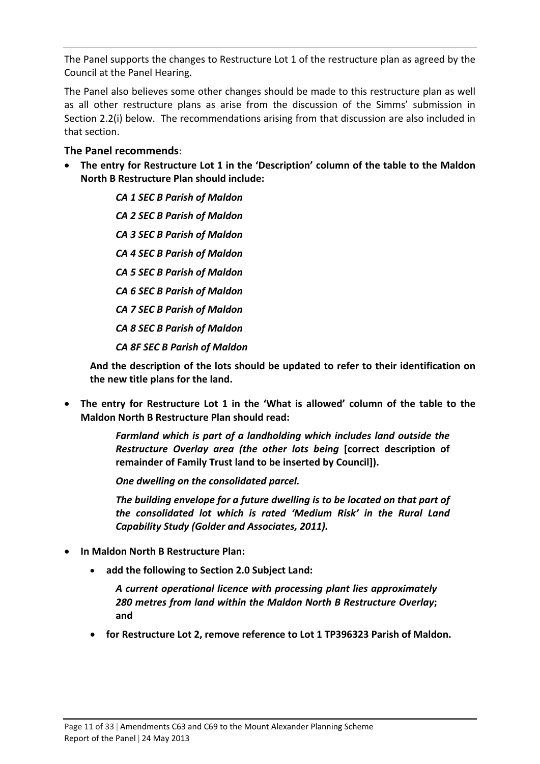The Panel supports the changes to Restructure Lot 1 of the restructure plan as agreed by the Council at the Panel Hearing.

The Panel also believes some other changes should be made to this restructure plan as well as all other restructure plans as arise from the discussion of the Simms' submission in Section 2.2(i) below. The recommendations arising from that discussion are also included in that section.

#### **The Panel recommends**:

 **The entry for Restructure Lot 1 in the 'Description' column of the table to the Maldon North B Restructure Plan should include:**

> *CA 1 SEC B Parish of Maldon CA 2 SEC B Parish of Maldon CA 3 SEC B Parish of Maldon CA 4 SEC B Parish of Maldon CA 5 SEC B Parish of Maldon CA 6 SEC B Parish of Maldon CA 7 SEC B Parish of Maldon CA 8 SEC B Parish of Maldon CA 8F SEC B Parish of Maldon*

**And the description of the lots should be updated to refer to their identification on the new title plans for the land.**

 **The entry for Restructure Lot 1 in the 'What is allowed' column of the table to the Maldon North B Restructure Plan should read:**

> *Farmland which is part of a landholding which includes land outside the Restructure Overlay area (the other lots being* **[correct description of remainder of Family Trust land to be inserted by Council]).**

*One dwelling on the consolidated parcel.*

*The building envelope for a future dwelling is to be located on that part of the consolidated lot which is rated 'Medium Risk' in the Rural Land Capability Study (Golder and Associates, 2011).*

- **In Maldon North B Restructure Plan:**
	- **add the following to Section 2.0 Subject Land:**

*A current operational licence with processing plant lies approximately 280 metres from land within the Maldon North B Restructure Overlay***; and**

**for Restructure Lot 2, remove reference to Lot 1 TP396323 Parish of Maldon.**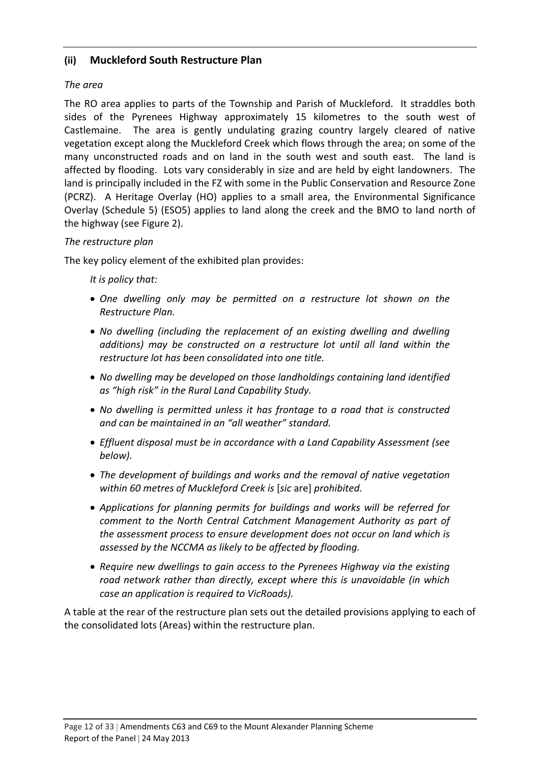#### **(ii) Muckleford South Restructure Plan**

#### *The area*

The RO area applies to parts of the Township and Parish of Muckleford. It straddles both sides of the Pyrenees Highway approximately 15 kilometres to the south west of Castlemaine. The area is gently undulating grazing country largely cleared of native vegetation except along the Muckleford Creek which flows through the area; on some of the many unconstructed roads and on land in the south west and south east. The land is affected by flooding. Lots vary considerably in size and are held by eight landowners. The land is principally included in the FZ with some in the Public Conservation and Resource Zone (PCRZ). A Heritage Overlay (HO) applies to a small area, the Environmental Significance Overlay (Schedule 5) (ESO5) applies to land along the creek and the BMO to land north of the highway (see Figure 2).

#### *The restructure plan*

The key policy element of the exhibited plan provides:

*It is policy that:*

- *One dwelling only may be permitted on a restructure lot shown on the Restructure Plan.*
- *No dwelling (including the replacement of an existing dwelling and dwelling additions) may be constructed on a restructure lot until all land within the restructure lot has been consolidated into one title.*
- *No dwelling may be developed on those landholdings containing land identified as "high risk" in the Rural Land Capability Study.*
- *No dwelling is permitted unless it has frontage to a road that is constructed and can be maintained in an "all weather" standard.*
- *Effluent disposal must be in accordance with a Land Capability Assessment (see below).*
- *The development of buildings and works and the removal of native vegetation within 60 metres of Muckleford Creek is* [*sic* are] *prohibited.*
- *Applications for planning permits for buildings and works will be referred for comment to the North Central Catchment Management Authority as part of the assessment process to ensure development does not occur on land which is assessed by the NCCMA as likely to be affected by flooding.*
- *Require new dwellings to gain access to the Pyrenees Highway via the existing road network rather than directly, except where this is unavoidable (in which case an application is required to VicRoads).*

A table at the rear of the restructure plan sets out the detailed provisions applying to each of the consolidated lots (Areas) within the restructure plan.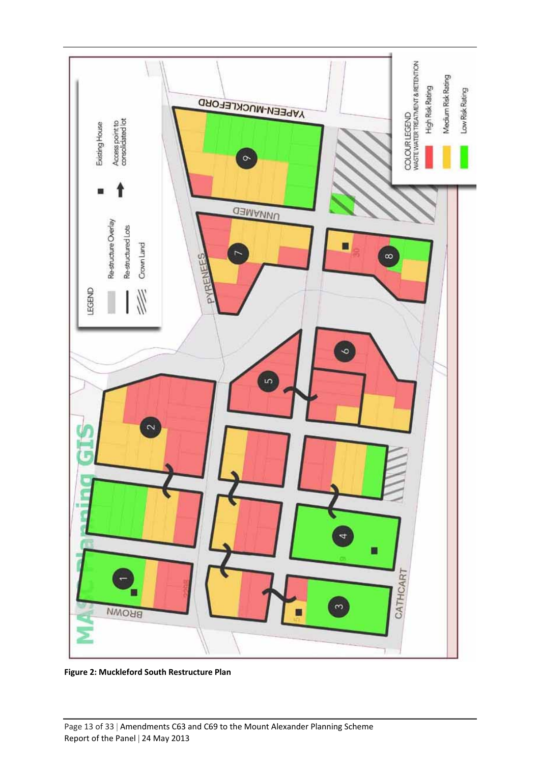

**Figure 2: Muckleford South Restructure Plan**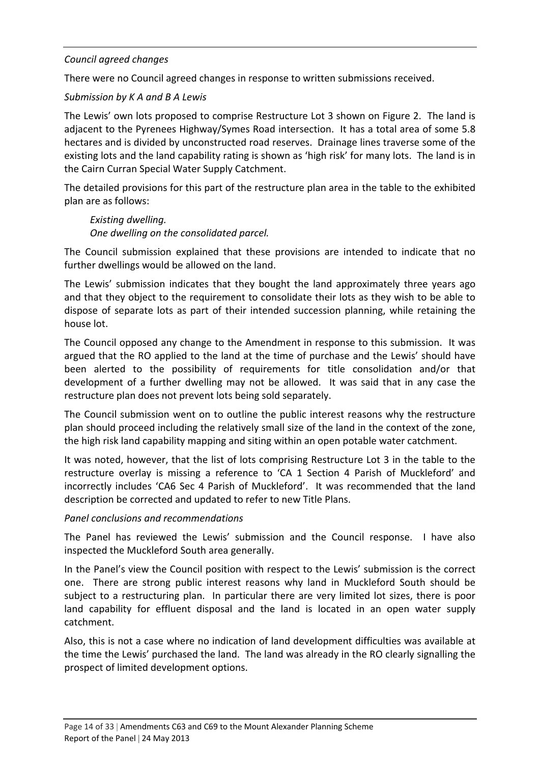#### *Council agreed changes*

There were no Council agreed changes in response to written submissions received.

#### *Submission by K A and B A Lewis*

The Lewis' own lots proposed to comprise Restructure Lot 3 shown on Figure 2. The land is adjacent to the Pyrenees Highway/Symes Road intersection. It has a total area of some 5.8 hectares and is divided by unconstructed road reserves. Drainage lines traverse some of the existing lots and the land capability rating is shown as 'high risk' for many lots. The land is in the Cairn Curran Special Water Supply Catchment.

The detailed provisions for this part of the restructure plan area in the table to the exhibited plan are as follows:

*Existing dwelling. One dwelling on the consolidated parcel.*

The Council submission explained that these provisions are intended to indicate that no further dwellings would be allowed on the land.

The Lewis' submission indicates that they bought the land approximately three years ago and that they object to the requirement to consolidate their lots as they wish to be able to dispose of separate lots as part of their intended succession planning, while retaining the house lot.

The Council opposed any change to the Amendment in response to this submission. It was argued that the RO applied to the land at the time of purchase and the Lewis' should have been alerted to the possibility of requirements for title consolidation and/or that development of a further dwelling may not be allowed. It was said that in any case the restructure plan does not prevent lots being sold separately.

The Council submission went on to outline the public interest reasons why the restructure plan should proceed including the relatively small size of the land in the context of the zone, the high risk land capability mapping and siting within an open potable water catchment.

It was noted, however, that the list of lots comprising Restructure Lot 3 in the table to the restructure overlay is missing a reference to 'CA 1 Section 4 Parish of Muckleford' and incorrectly includes 'CA6 Sec 4 Parish of Muckleford'. It was recommended that the land description be corrected and updated to refer to new Title Plans.

#### *Panel conclusions and recommendations*

The Panel has reviewed the Lewis' submission and the Council response. I have also inspected the Muckleford South area generally.

In the Panel's view the Council position with respect to the Lewis' submission is the correct one. There are strong public interest reasons why land in Muckleford South should be subject to a restructuring plan. In particular there are very limited lot sizes, there is poor land capability for effluent disposal and the land is located in an open water supply catchment.

Also, this is not a case where no indication of land development difficulties was available at the time the Lewis' purchased the land. The land was already in the RO clearly signalling the prospect of limited development options.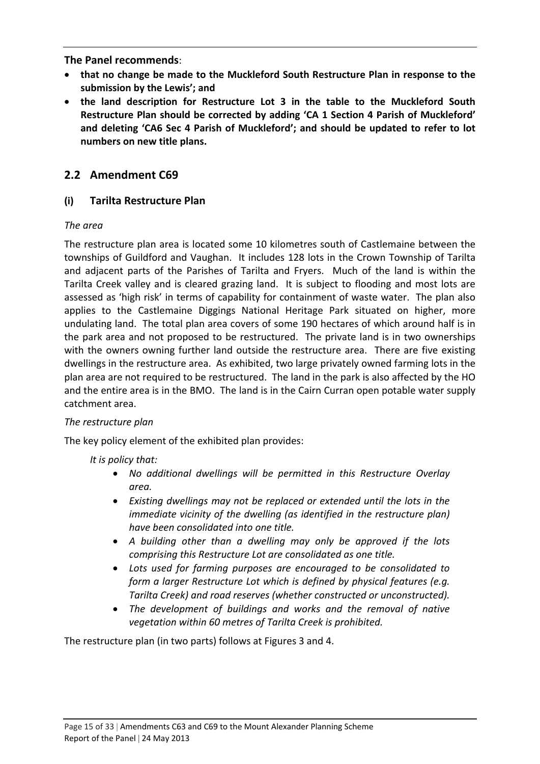**The Panel recommends**:

- **that no change be made to the Muckleford South Restructure Plan in response to the submission by the Lewis'; and**
- **the land description for Restructure Lot 3 in the table to the Muckleford South Restructure Plan should be corrected by adding 'CA 1 Section 4 Parish of Muckleford' and deleting 'CA6 Sec 4 Parish of Muckleford'; and should be updated to refer to lot numbers on new title plans.**

### **2.2 Amendment C69**

#### **(i) Tarilta Restructure Plan**

#### *The area*

The restructure plan area is located some 10 kilometres south of Castlemaine between the townships of Guildford and Vaughan. It includes 128 lots in the Crown Township of Tarilta and adjacent parts of the Parishes of Tarilta and Fryers. Much of the land is within the Tarilta Creek valley and is cleared grazing land. It is subject to flooding and most lots are assessed as 'high risk' in terms of capability for containment of waste water. The plan also applies to the Castlemaine Diggings National Heritage Park situated on higher, more undulating land. The total plan area covers of some 190 hectares of which around half is in the park area and not proposed to be restructured. The private land is in two ownerships with the owners owning further land outside the restructure area. There are five existing dwellings in the restructure area. As exhibited, two large privately owned farming lots in the plan area are not required to be restructured. The land in the park is also affected by the HO and the entire area is in the BMO. The land is in the Cairn Curran open potable water supply catchment area.

#### *The restructure plan*

The key policy element of the exhibited plan provides:

#### *It is policy that:*

- *No additional dwellings will be permitted in this Restructure Overlay area.*
- *Existing dwellings may not be replaced or extended until the lots in the immediate vicinity of the dwelling (as identified in the restructure plan) have been consolidated into one title.*
- *A building other than a dwelling may only be approved if the lots comprising this Restructure Lot are consolidated as one title.*
- *Lots used for farming purposes are encouraged to be consolidated to form a larger Restructure Lot which is defined by physical features (e.g. Tarilta Creek) and road reserves (whether constructed or unconstructed).*
- *The development of buildings and works and the removal of native vegetation within 60 metres of Tarilta Creek is prohibited.*

The restructure plan (in two parts) follows at Figures 3 and 4.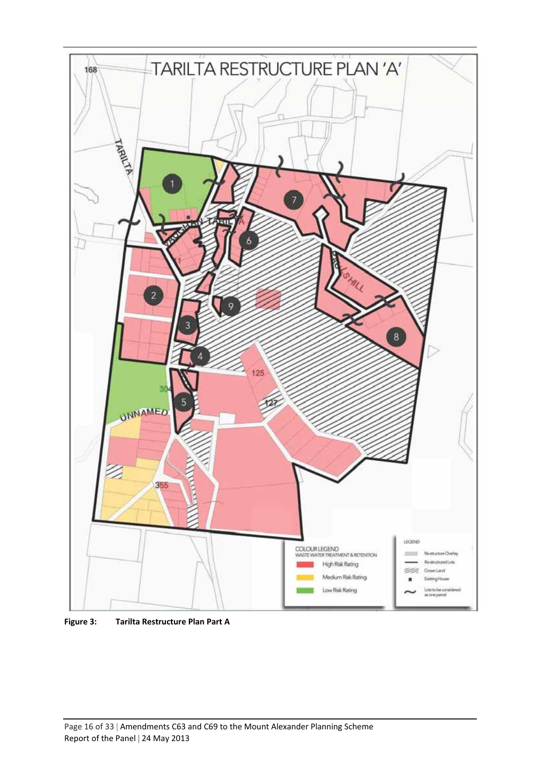

**Figure 3: Tarilta Restructure Plan Part A**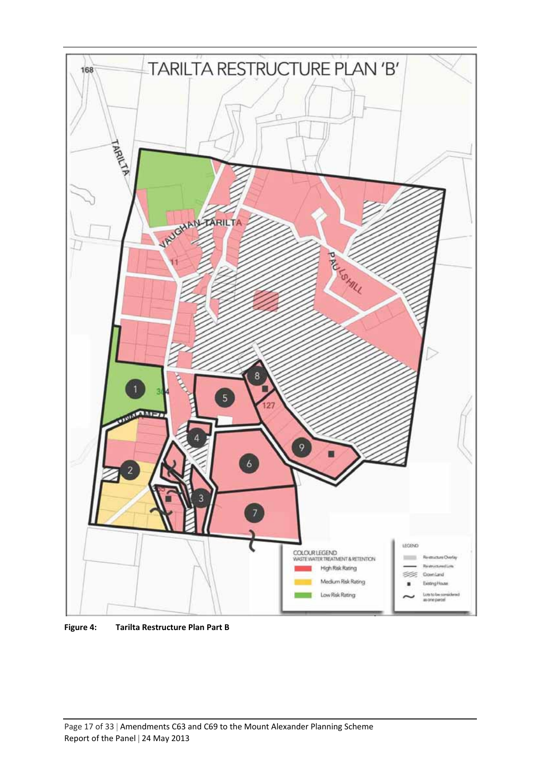

**Figure 4: Tarilta Restructure Plan Part B**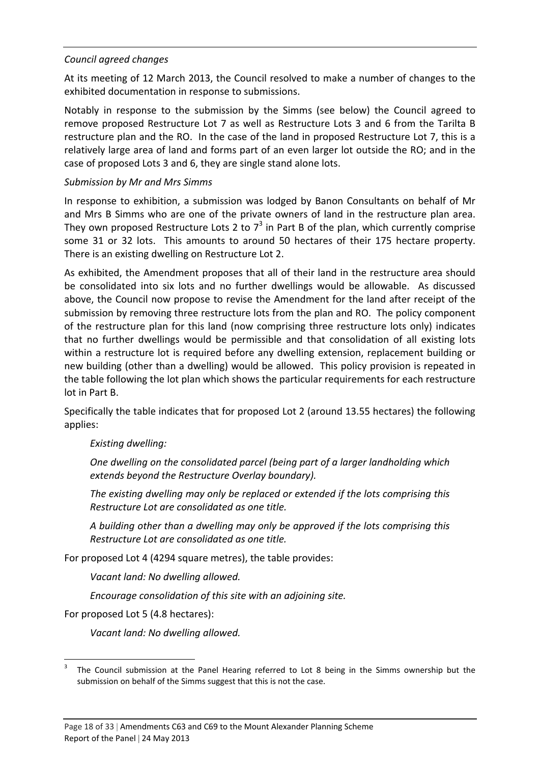#### *Council agreed changes*

At its meeting of 12 March 2013, the Council resolved to make a number of changes to the exhibited documentation in response to submissions.

Notably in response to the submission by the Simms (see below) the Council agreed to remove proposed Restructure Lot 7 as well as Restructure Lots 3 and 6 from the Tarilta B restructure plan and the RO. In the case of the land in proposed Restructure Lot 7, this is a relatively large area of land and forms part of an even larger lot outside the RO; and in the case of proposed Lots 3 and 6, they are single stand alone lots.

#### *Submission by Mr and Mrs Simms*

In response to exhibition, a submission was lodged by Banon Consultants on behalf of Mr and Mrs B Simms who are one of the private owners of land in the restructure plan area. They own proposed Restructure Lots 2 to  $7<sup>3</sup>$  in Part B of the plan, which currently comprise some 31 or 32 lots. This amounts to around 50 hectares of their 175 hectare property. There is an existing dwelling on Restructure Lot 2.

As exhibited, the Amendment proposes that all of their land in the restructure area should be consolidated into six lots and no further dwellings would be allowable. As discussed above, the Council now propose to revise the Amendment for the land after receipt of the submission by removing three restructure lots from the plan and RO. The policy component of the restructure plan for this land (now comprising three restructure lots only) indicates that no further dwellings would be permissible and that consolidation of all existing lots within a restructure lot is required before any dwelling extension, replacement building or new building (other than a dwelling) would be allowed. This policy provision is repeated in the table following the lot plan which shows the particular requirements for each restructure lot in Part B.

Specifically the table indicates that for proposed Lot 2 (around 13.55 hectares) the following applies:

#### *Existing dwelling:*

*One dwelling on the consolidated parcel (being part of a larger landholding which extends beyond the Restructure Overlay boundary).*

*The existing dwelling may only be replaced or extended if the lots comprising this Restructure Lot are consolidated as one title.*

*A building other than a dwelling may only be approved if the lots comprising this Restructure Lot are consolidated as one title.*

For proposed Lot 4 (4294 square metres), the table provides:

*Vacant land: No dwelling allowed.*

*Encourage consolidation of this site with an adjoining site.*

For proposed Lot 5 (4.8 hectares):

*Vacant land: No dwelling allowed.*

The Council submission at the Panel Hearing referred to Lot 8 being in the Simms ownership but the submission on behalf of the Simms suggest that this is not the case.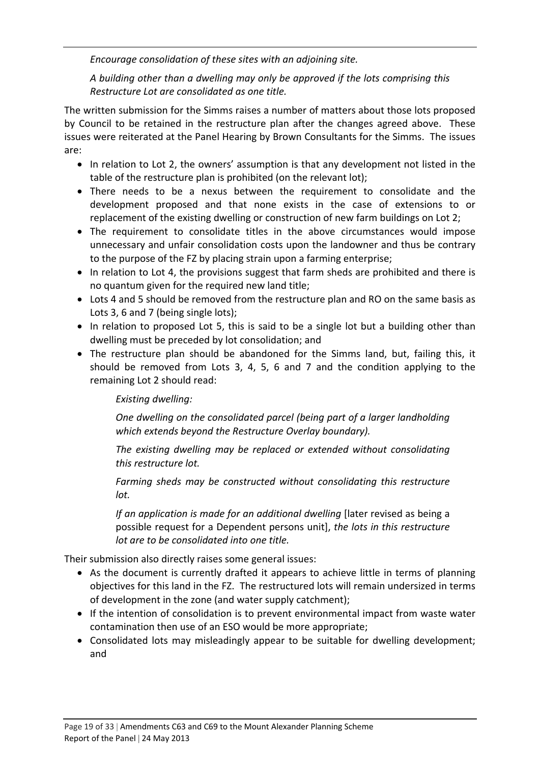*Encourage consolidation of these sites with an adjoining site.*

*A building other than a dwelling may only be approved if the lots comprising this Restructure Lot are consolidated as one title.*

The written submission for the Simms raises a number of matters about those lots proposed by Council to be retained in the restructure plan after the changes agreed above. These issues were reiterated at the Panel Hearing by Brown Consultants for the Simms. The issues are:

- In relation to Lot 2, the owners' assumption is that any development not listed in the table of the restructure plan is prohibited (on the relevant lot);
- There needs to be a nexus between the requirement to consolidate and the development proposed and that none exists in the case of extensions to or replacement of the existing dwelling or construction of new farm buildings on Lot 2;
- The requirement to consolidate titles in the above circumstances would impose unnecessary and unfair consolidation costs upon the landowner and thus be contrary to the purpose of the FZ by placing strain upon a farming enterprise;
- In relation to Lot 4, the provisions suggest that farm sheds are prohibited and there is no quantum given for the required new land title;
- Lots 4 and 5 should be removed from the restructure plan and RO on the same basis as Lots 3, 6 and 7 (being single lots);
- In relation to proposed Lot 5, this is said to be a single lot but a building other than dwelling must be preceded by lot consolidation; and
- The restructure plan should be abandoned for the Simms land, but, failing this, it should be removed from Lots 3, 4, 5, 6 and 7 and the condition applying to the remaining Lot 2 should read:

#### *Existing dwelling:*

*One dwelling on the consolidated parcel (being part of a larger landholding which extends beyond the Restructure Overlay boundary).*

*The existing dwelling may be replaced or extended without consolidating this restructure lot.*

*Farming sheds may be constructed without consolidating this restructure lot.*

*If an application is made for an additional dwelling* [later revised as being a possible request for a Dependent persons unit], *the lots in this restructure lot are to be consolidated into one title.*

Their submission also directly raises some general issues:

- As the document is currently drafted it appears to achieve little in terms of planning objectives for this land in the FZ. The restructured lots will remain undersized in terms of development in the zone (and water supply catchment);
- If the intention of consolidation is to prevent environmental impact from waste water contamination then use of an ESO would be more appropriate;
- Consolidated lots may misleadingly appear to be suitable for dwelling development; and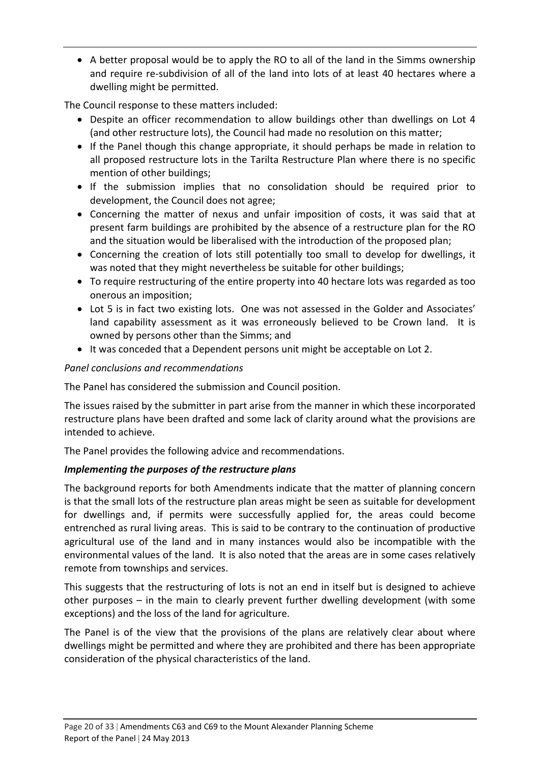A better proposal would be to apply the RO to all of the land in the Simms ownership and require re‐subdivision of all of the land into lots of at least 40 hectares where a dwelling might be permitted.

The Council response to these matters included:

- Despite an officer recommendation to allow buildings other than dwellings on Lot 4 (and other restructure lots), the Council had made no resolution on this matter;
- If the Panel though this change appropriate, it should perhaps be made in relation to all proposed restructure lots in the Tarilta Restructure Plan where there is no specific mention of other buildings;
- If the submission implies that no consolidation should be required prior to development, the Council does not agree;
- Concerning the matter of nexus and unfair imposition of costs, it was said that at present farm buildings are prohibited by the absence of a restructure plan for the RO and the situation would be liberalised with the introduction of the proposed plan;
- Concerning the creation of lots still potentially too small to develop for dwellings, it was noted that they might nevertheless be suitable for other buildings;
- To require restructuring of the entire property into 40 hectare lots was regarded as too onerous an imposition;
- Lot 5 is in fact two existing lots. One was not assessed in the Golder and Associates' land capability assessment as it was erroneously believed to be Crown land. It is owned by persons other than the Simms; and
- It was conceded that a Dependent persons unit might be acceptable on Lot 2.

#### *Panel conclusions and recommendations*

The Panel has considered the submission and Council position.

The issues raised by the submitter in part arise from the manner in which these incorporated restructure plans have been drafted and some lack of clarity around what the provisions are intended to achieve.

The Panel provides the following advice and recommendations.

#### *Implementing the purposes of the restructure plans*

The background reports for both Amendments indicate that the matter of planning concern is that the small lots of the restructure plan areas might be seen as suitable for development for dwellings and, if permits were successfully applied for, the areas could become entrenched as rural living areas. This is said to be contrary to the continuation of productive agricultural use of the land and in many instances would also be incompatible with the environmental values of the land. It is also noted that the areas are in some cases relatively remote from townships and services.

This suggests that the restructuring of lots is not an end in itself but is designed to achieve other purposes – in the main to clearly prevent further dwelling development (with some exceptions) and the loss of the land for agriculture.

The Panel is of the view that the provisions of the plans are relatively clear about where dwellings might be permitted and where they are prohibited and there has been appropriate consideration of the physical characteristics of the land.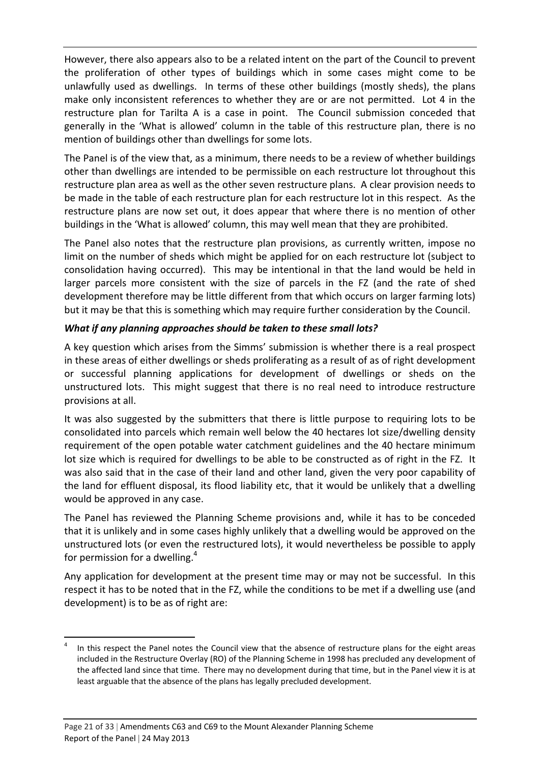However, there also appears also to be a related intent on the part of the Council to prevent the proliferation of other types of buildings which in some cases might come to be unlawfully used as dwellings. In terms of these other buildings (mostly sheds), the plans make only inconsistent references to whether they are or are not permitted. Lot 4 in the restructure plan for Tarilta A is a case in point. The Council submission conceded that generally in the 'What is allowed' column in the table of this restructure plan, there is no mention of buildings other than dwellings for some lots.

The Panel is of the view that, as a minimum, there needs to be a review of whether buildings other than dwellings are intended to be permissible on each restructure lot throughout this restructure plan area as well as the other seven restructure plans. A clear provision needs to be made in the table of each restructure plan for each restructure lot in this respect. As the restructure plans are now set out, it does appear that where there is no mention of other buildings in the 'What is allowed' column, this may well mean that they are prohibited.

The Panel also notes that the restructure plan provisions, as currently written, impose no limit on the number of sheds which might be applied for on each restructure lot (subject to consolidation having occurred). This may be intentional in that the land would be held in larger parcels more consistent with the size of parcels in the FZ (and the rate of shed development therefore may be little different from that which occurs on larger farming lots) but it may be that this is something which may require further consideration by the Council.

#### *What if any planning approaches should be taken to these small lots?*

A key question which arises from the Simms' submission is whether there is a real prospect in these areas of either dwellings or sheds proliferating as a result of as of right development or successful planning applications for development of dwellings or sheds on the unstructured lots. This might suggest that there is no real need to introduce restructure provisions at all.

It was also suggested by the submitters that there is little purpose to requiring lots to be consolidated into parcels which remain well below the 40 hectares lot size/dwelling density requirement of the open potable water catchment guidelines and the 40 hectare minimum lot size which is required for dwellings to be able to be constructed as of right in the FZ. It was also said that in the case of their land and other land, given the very poor capability of the land for effluent disposal, its flood liability etc, that it would be unlikely that a dwelling would be approved in any case.

The Panel has reviewed the Planning Scheme provisions and, while it has to be conceded that it is unlikely and in some cases highly unlikely that a dwelling would be approved on the unstructured lots (or even the restructured lots), it would nevertheless be possible to apply for permission for a dwelling.<sup>4</sup>

Any application for development at the present time may or may not be successful. In this respect it has to be noted that in the FZ, while the conditions to be met if a dwelling use (and development) is to be as of right are:

 In this respect the Panel notes the Council view that the absence of restructure plans for the eight areas included in the Restructure Overlay (RO) of the Planning Scheme in 1998 has precluded any development of the affected land since that time. There may no development during that time, but in the Panel view it is at least arguable that the absence of the plans has legally precluded development.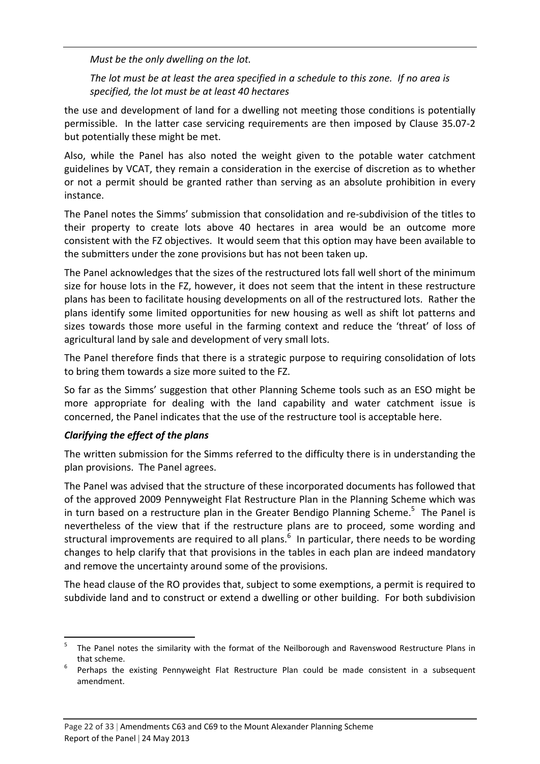*Must be the only dwelling on the lot.*

The lot must be at least the area specified in a schedule to this zone. If no area is *specified, the lot must be at least 40 hectares* 

the use and development of land for a dwelling not meeting those conditions is potentially permissible. In the latter case servicing requirements are then imposed by Clause 35.07‐2 but potentially these might be met.

Also, while the Panel has also noted the weight given to the potable water catchment guidelines by VCAT, they remain a consideration in the exercise of discretion as to whether or not a permit should be granted rather than serving as an absolute prohibition in every instance.

The Panel notes the Simms' submission that consolidation and re‐subdivision of the titles to their property to create lots above 40 hectares in area would be an outcome more consistent with the FZ objectives. It would seem that this option may have been available to the submitters under the zone provisions but has not been taken up.

The Panel acknowledges that the sizes of the restructured lots fall well short of the minimum size for house lots in the FZ, however, it does not seem that the intent in these restructure plans has been to facilitate housing developments on all of the restructured lots. Rather the plans identify some limited opportunities for new housing as well as shift lot patterns and sizes towards those more useful in the farming context and reduce the 'threat' of loss of agricultural land by sale and development of very small lots.

The Panel therefore finds that there is a strategic purpose to requiring consolidation of lots to bring them towards a size more suited to the FZ.

So far as the Simms' suggestion that other Planning Scheme tools such as an ESO might be more appropriate for dealing with the land capability and water catchment issue is concerned, the Panel indicates that the use of the restructure tool is acceptable here.

#### *Clarifying the effect of the plans*

The written submission for the Simms referred to the difficulty there is in understanding the plan provisions. The Panel agrees.

The Panel was advised that the structure of these incorporated documents has followed that of the approved 2009 Pennyweight Flat Restructure Plan in the Planning Scheme which was in turn based on a restructure plan in the Greater Bendigo Planning Scheme.<sup>5</sup> The Panel is nevertheless of the view that if the restructure plans are to proceed, some wording and structural improvements are required to all plans.<sup>6</sup> In particular, there needs to be wording changes to help clarify that that provisions in the tables in each plan are indeed mandatory and remove the uncertainty around some of the provisions.

The head clause of the RO provides that, subject to some exemptions, a permit is required to subdivide land and to construct or extend a dwelling or other building. For both subdivision

<sup>5</sup> The Panel notes the similarity with the format of the Neilborough and Ravenswood Restructure Plans in that scheme.<br>Perhaps the existing Pennyweight Flat Restructure Plan could be made consistent in a subsequent

amendment.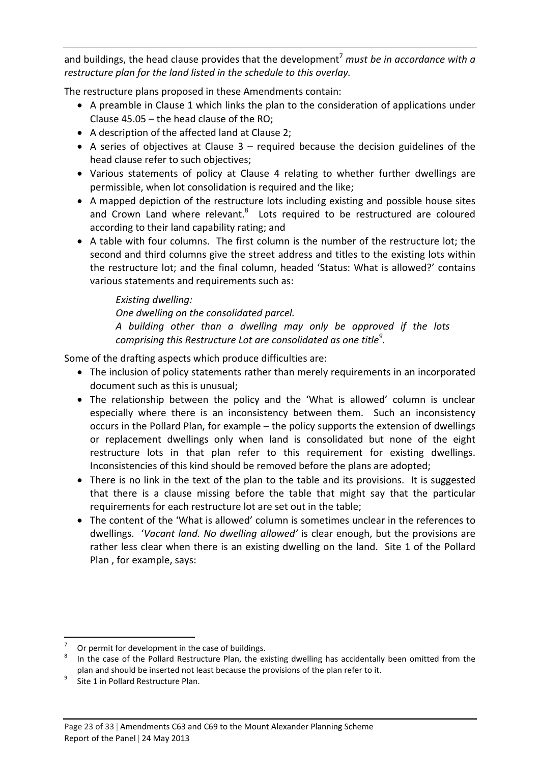and buildings, the head clause provides that the development7 *must be in accordance with a restructure plan for the land listed in the schedule to this overlay.*

The restructure plans proposed in these Amendments contain:

- A preamble in Clause 1 which links the plan to the consideration of applications under Clause 45.05 – the head clause of the RO;
- A description of the affected land at Clause 2;
- A series of objectives at Clause  $3$  required because the decision guidelines of the head clause refer to such objectives;
- Various statements of policy at Clause 4 relating to whether further dwellings are permissible, when lot consolidation is required and the like;
- A mapped depiction of the restructure lots including existing and possible house sites and Crown Land where relevant.<sup>8</sup> Lots required to be restructured are coloured according to their land capability rating; and
- A table with four columns. The first column is the number of the restructure lot; the second and third columns give the street address and titles to the existing lots within the restructure lot; and the final column, headed 'Status: What is allowed?' contains various statements and requirements such as:

#### *Existing dwelling:*

*One dwelling on the consolidated parcel.*

*A building other than a dwelling may only be approved if the lots comprising this Restructure Lot are consolidated as one title9 .*

Some of the drafting aspects which produce difficulties are:

- The inclusion of policy statements rather than merely requirements in an incorporated document such as this is unusual;
- The relationship between the policy and the 'What is allowed' column is unclear especially where there is an inconsistency between them. Such an inconsistency occurs in the Pollard Plan, for example – the policy supports the extension of dwellings or replacement dwellings only when land is consolidated but none of the eight restructure lots in that plan refer to this requirement for existing dwellings. Inconsistencies of this kind should be removed before the plans are adopted;
- There is no link in the text of the plan to the table and its provisions. It is suggested that there is a clause missing before the table that might say that the particular requirements for each restructure lot are set out in the table;
- The content of the 'What is allowed' column is sometimes unclear in the references to dwellings. '*Vacant land. No dwelling allowed'* is clear enough, but the provisions are rather less clear when there is an existing dwelling on the land. Site 1 of the Pollard Plan , for example, says:

Or permit for development in the case of buildings.<br>In the case of the Pollard Restructure Plan, the existing dwelling has accidentally been omitted from the plan and should be inserted not least because the provisions of the plan refer to it.<br>Site 1 in Pollard Restructure Plan.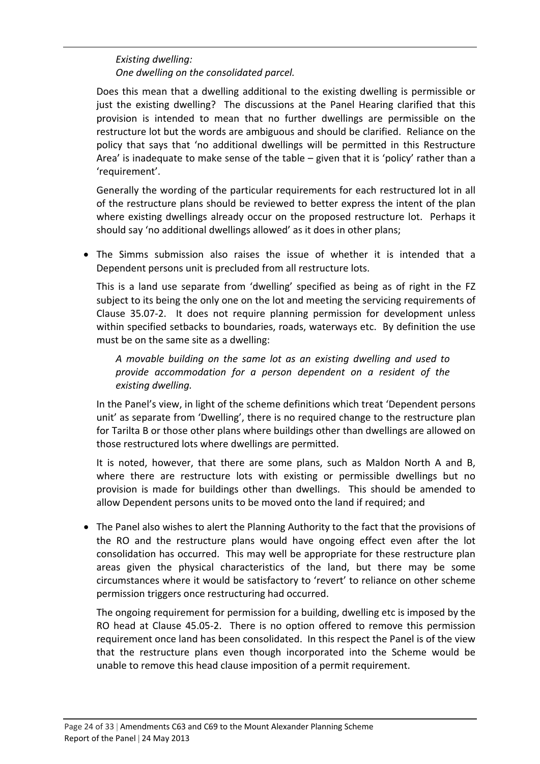#### *Existing dwelling: One dwelling on the consolidated parcel.*

Does this mean that a dwelling additional to the existing dwelling is permissible or just the existing dwelling? The discussions at the Panel Hearing clarified that this provision is intended to mean that no further dwellings are permissible on the restructure lot but the words are ambiguous and should be clarified. Reliance on the policy that says that 'no additional dwellings will be permitted in this Restructure Area' is inadequate to make sense of the table  $-$  given that it is 'policy' rather than a 'requirement'.

Generally the wording of the particular requirements for each restructured lot in all of the restructure plans should be reviewed to better express the intent of the plan where existing dwellings already occur on the proposed restructure lot. Perhaps it should say 'no additional dwellings allowed' as it does in other plans;

• The Simms submission also raises the issue of whether it is intended that a Dependent persons unit is precluded from all restructure lots.

This is a land use separate from 'dwelling' specified as being as of right in the FZ subject to its being the only one on the lot and meeting the servicing requirements of Clause 35.07‐2. It does not require planning permission for development unless within specified setbacks to boundaries, roads, waterways etc. By definition the use must be on the same site as a dwelling:

*A movable building on the same lot as an existing dwelling and used to provide accommodation for a person dependent on a resident of the existing dwelling.*

In the Panel's view, in light of the scheme definitions which treat 'Dependent persons unit' as separate from 'Dwelling', there is no required change to the restructure plan for Tarilta B or those other plans where buildings other than dwellings are allowed on those restructured lots where dwellings are permitted.

It is noted, however, that there are some plans, such as Maldon North A and B, where there are restructure lots with existing or permissible dwellings but no provision is made for buildings other than dwellings. This should be amended to allow Dependent persons units to be moved onto the land if required; and

• The Panel also wishes to alert the Planning Authority to the fact that the provisions of the RO and the restructure plans would have ongoing effect even after the lot consolidation has occurred. This may well be appropriate for these restructure plan areas given the physical characteristics of the land, but there may be some circumstances where it would be satisfactory to 'revert' to reliance on other scheme permission triggers once restructuring had occurred.

The ongoing requirement for permission for a building, dwelling etc is imposed by the RO head at Clause 45.05-2. There is no option offered to remove this permission requirement once land has been consolidated. In this respect the Panel is of the view that the restructure plans even though incorporated into the Scheme would be unable to remove this head clause imposition of a permit requirement.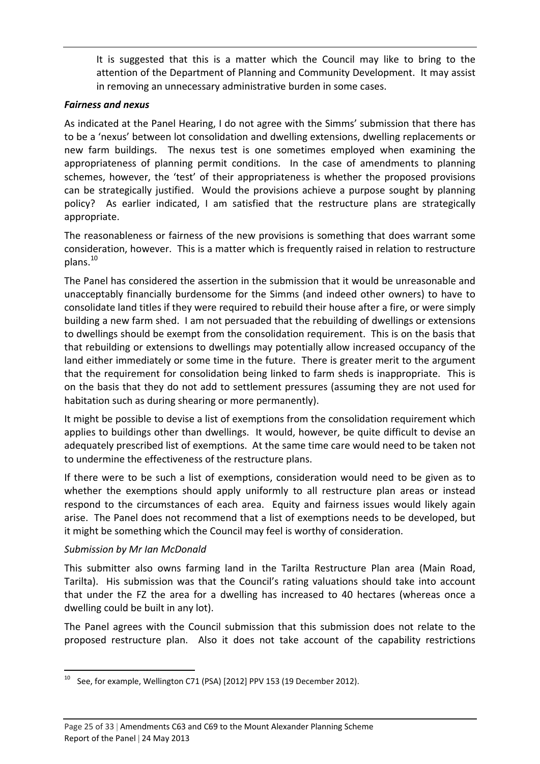It is suggested that this is a matter which the Council may like to bring to the attention of the Department of Planning and Community Development. It may assist in removing an unnecessary administrative burden in some cases.

#### *Fairness and nexus*

As indicated at the Panel Hearing, I do not agree with the Simms' submission that there has to be a 'nexus' between lot consolidation and dwelling extensions, dwelling replacements or new farm buildings. The nexus test is one sometimes employed when examining the appropriateness of planning permit conditions. In the case of amendments to planning schemes, however, the 'test' of their appropriateness is whether the proposed provisions can be strategically justified. Would the provisions achieve a purpose sought by planning policy? As earlier indicated, I am satisfied that the restructure plans are strategically appropriate.

The reasonableness or fairness of the new provisions is something that does warrant some consideration, however. This is a matter which is frequently raised in relation to restructure plans.<sup>10</sup>

The Panel has considered the assertion in the submission that it would be unreasonable and unacceptably financially burdensome for the Simms (and indeed other owners) to have to consolidate land titles if they were required to rebuild their house after a fire, or were simply building a new farm shed. I am not persuaded that the rebuilding of dwellings or extensions to dwellings should be exempt from the consolidation requirement. This is on the basis that that rebuilding or extensions to dwellings may potentially allow increased occupancy of the land either immediately or some time in the future. There is greater merit to the argument that the requirement for consolidation being linked to farm sheds is inappropriate. This is on the basis that they do not add to settlement pressures (assuming they are not used for habitation such as during shearing or more permanently).

It might be possible to devise a list of exemptions from the consolidation requirement which applies to buildings other than dwellings. It would, however, be quite difficult to devise an adequately prescribed list of exemptions. At the same time care would need to be taken not to undermine the effectiveness of the restructure plans.

If there were to be such a list of exemptions, consideration would need to be given as to whether the exemptions should apply uniformly to all restructure plan areas or instead respond to the circumstances of each area. Equity and fairness issues would likely again arise. The Panel does not recommend that a list of exemptions needs to be developed, but it might be something which the Council may feel is worthy of consideration.

#### *Submission by Mr Ian McDonald*

This submitter also owns farming land in the Tarilta Restructure Plan area (Main Road, Tarilta). His submission was that the Council's rating valuations should take into account that under the FZ the area for a dwelling has increased to 40 hectares (whereas once a dwelling could be built in any lot).

The Panel agrees with the Council submission that this submission does not relate to the proposed restructure plan. Also it does not take account of the capability restrictions

 <sup>10</sup> See, for example, Wellington C71 (PSA) [2012] PPV 153 (19 December 2012).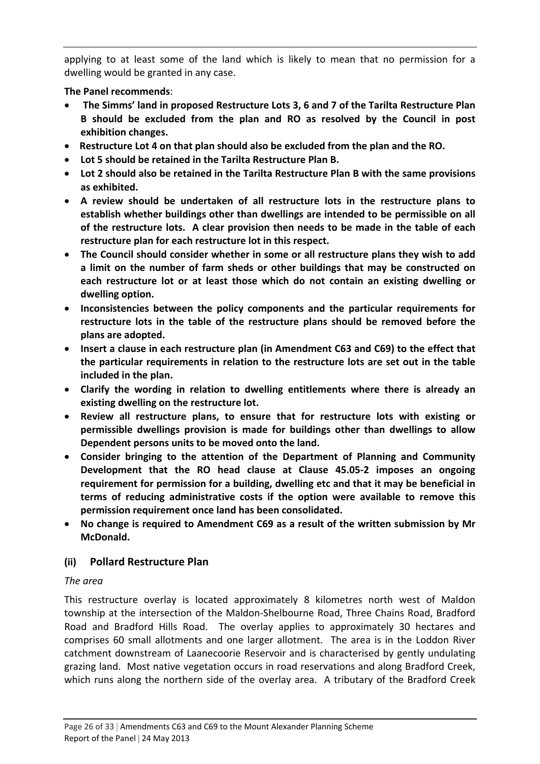applying to at least some of the land which is likely to mean that no permission for a dwelling would be granted in any case.

#### **The Panel recommends**:

- **The Simms' land in proposed Restructure Lots 3, 6 and 7 of the Tarilta Restructure Plan B should be excluded from the plan and RO as resolved by the Council in post exhibition changes.**
- **Restructure Lot 4 on that plan should also be excluded from the plan and the RO.**
- **Lot 5 should be retained in the Tarilta Restructure Plan B.**
- **Lot 2 should also be retained in the Tarilta Restructure Plan B with the same provisions as exhibited.**
- **A review should be undertaken of all restructure lots in the restructure plans to establish whether buildings other than dwellings are intended to be permissible on all of the restructure lots. A clear provision then needs to be made in the table of each restructure plan for each restructure lot in this respect.**
- **The Council should consider whether in some or all restructure plans they wish to add a limit on the number of farm sheds or other buildings that may be constructed on each restructure lot or at least those which do not contain an existing dwelling or dwelling option.**
- **Inconsistencies between the policy components and the particular requirements for restructure lots in the table of the restructure plans should be removed before the plans are adopted.**
- **Insert a clause in each restructure plan (in Amendment C63 and C69) to the effect that the particular requirements in relation to the restructure lots are set out in the table included in the plan.**
- **Clarify the wording in relation to dwelling entitlements where there is already an existing dwelling on the restructure lot.**
- **Review all restructure plans, to ensure that for restructure lots with existing or permissible dwellings provision is made for buildings other than dwellings to allow Dependent persons units to be moved onto the land.**
- **Consider bringing to the attention of the Department of Planning and Community Development that the RO head clause at Clause 45.05‐2 imposes an ongoing requirement for permission for a building, dwelling etc and that it may be beneficial in terms of reducing administrative costs if the option were available to remove this permission requirement once land has been consolidated.**
- **No change is required to Amendment C69 as a result of the written submission by Mr McDonald.**

#### **(ii) Pollard Restructure Plan**

#### *The area*

This restructure overlay is located approximately 8 kilometres north west of Maldon township at the intersection of the Maldon‐Shelbourne Road, Three Chains Road, Bradford Road and Bradford Hills Road. The overlay applies to approximately 30 hectares and comprises 60 small allotments and one larger allotment. The area is in the Loddon River catchment downstream of Laanecoorie Reservoir and is characterised by gently undulating grazing land. Most native vegetation occurs in road reservations and along Bradford Creek, which runs along the northern side of the overlay area. A tributary of the Bradford Creek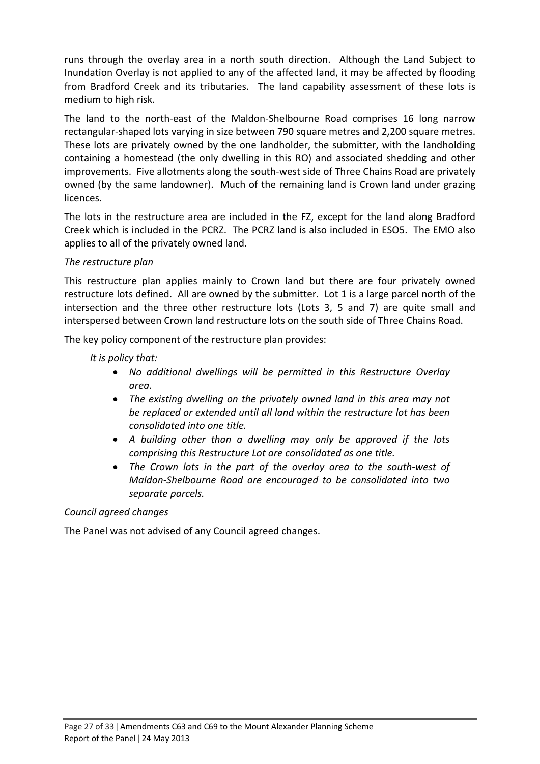runs through the overlay area in a north south direction. Although the Land Subject to Inundation Overlay is not applied to any of the affected land, it may be affected by flooding from Bradford Creek and its tributaries. The land capability assessment of these lots is medium to high risk.

The land to the north‐east of the Maldon‐Shelbourne Road comprises 16 long narrow rectangular‐shaped lots varying in size between 790 square metres and 2,200 square metres. These lots are privately owned by the one landholder, the submitter, with the landholding containing a homestead (the only dwelling in this RO) and associated shedding and other improvements. Five allotments along the south-west side of Three Chains Road are privately owned (by the same landowner). Much of the remaining land is Crown land under grazing licences.

The lots in the restructure area are included in the FZ, except for the land along Bradford Creek which is included in the PCRZ. The PCRZ land is also included in ESO5. The EMO also applies to all of the privately owned land.

#### *The restructure plan*

This restructure plan applies mainly to Crown land but there are four privately owned restructure lots defined. All are owned by the submitter. Lot 1 is a large parcel north of the intersection and the three other restructure lots (Lots 3, 5 and 7) are quite small and interspersed between Crown land restructure lots on the south side of Three Chains Road.

The key policy component of the restructure plan provides:

*It is policy that:*

- *No additional dwellings will be permitted in this Restructure Overlay area.*
- *The existing dwelling on the privately owned land in this area may not be replaced or extended until all land within the restructure lot has been consolidated into one title.*
- *A building other than a dwelling may only be approved if the lots comprising this Restructure Lot are consolidated as one title.*
- *The Crown lots in the part of the overlay area to the south‐west of Maldon‐Shelbourne Road are encouraged to be consolidated into two separate parcels.*

#### *Council agreed changes*

The Panel was not advised of any Council agreed changes.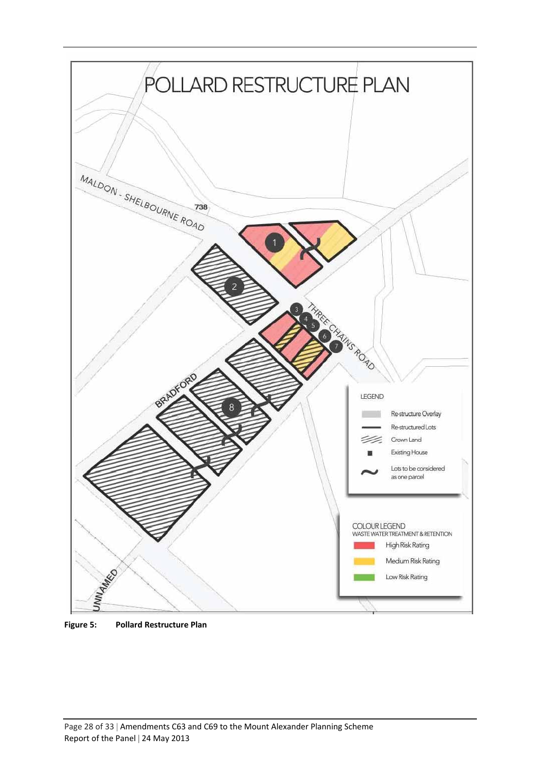

**Figure 5: Pollard Restructure Plan**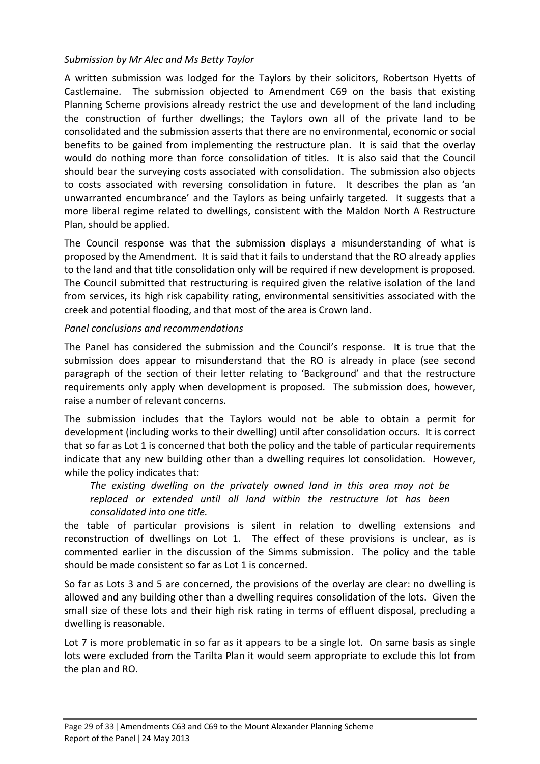#### *Submission by Mr Alec and Ms Betty Taylor*

A written submission was lodged for the Taylors by their solicitors, Robertson Hyetts of Castlemaine. The submission objected to Amendment C69 on the basis that existing Planning Scheme provisions already restrict the use and development of the land including the construction of further dwellings; the Taylors own all of the private land to be consolidated and the submission asserts that there are no environmental, economic or social benefits to be gained from implementing the restructure plan. It is said that the overlay would do nothing more than force consolidation of titles. It is also said that the Council should bear the surveying costs associated with consolidation. The submission also objects to costs associated with reversing consolidation in future. It describes the plan as 'an unwarranted encumbrance' and the Taylors as being unfairly targeted. It suggests that a more liberal regime related to dwellings, consistent with the Maldon North A Restructure Plan, should be applied.

The Council response was that the submission displays a misunderstanding of what is proposed by the Amendment. It is said that it fails to understand that the RO already applies to the land and that title consolidation only will be required if new development is proposed. The Council submitted that restructuring is required given the relative isolation of the land from services, its high risk capability rating, environmental sensitivities associated with the creek and potential flooding, and that most of the area is Crown land.

#### *Panel conclusions and recommendations*

The Panel has considered the submission and the Council's response. It is true that the submission does appear to misunderstand that the RO is already in place (see second paragraph of the section of their letter relating to 'Background' and that the restructure requirements only apply when development is proposed. The submission does, however, raise a number of relevant concerns.

The submission includes that the Taylors would not be able to obtain a permit for development (including works to their dwelling) until after consolidation occurs. It is correct that so far as Lot 1 is concerned that both the policy and the table of particular requirements indicate that any new building other than a dwelling requires lot consolidation. However, while the policy indicates that:

*The existing dwelling on the privately owned land in this area may not be replaced or extended until all land within the restructure lot has been consolidated into one title.*

the table of particular provisions is silent in relation to dwelling extensions and reconstruction of dwellings on Lot 1. The effect of these provisions is unclear, as is commented earlier in the discussion of the Simms submission. The policy and the table should be made consistent so far as Lot 1 is concerned.

So far as Lots 3 and 5 are concerned, the provisions of the overlay are clear: no dwelling is allowed and any building other than a dwelling requires consolidation of the lots. Given the small size of these lots and their high risk rating in terms of effluent disposal, precluding a dwelling is reasonable.

Lot 7 is more problematic in so far as it appears to be a single lot. On same basis as single lots were excluded from the Tarilta Plan it would seem appropriate to exclude this lot from the plan and RO.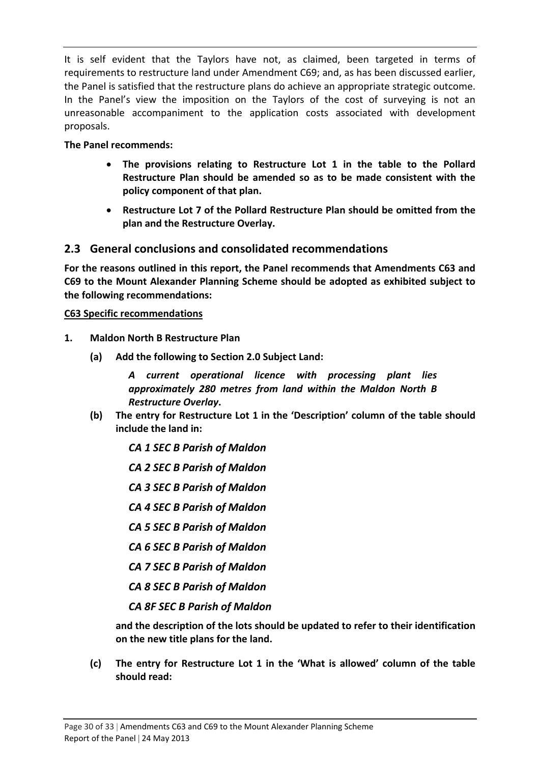It is self evident that the Taylors have not, as claimed, been targeted in terms of requirements to restructure land under Amendment C69; and, as has been discussed earlier, the Panel is satisfied that the restructure plans do achieve an appropriate strategic outcome. In the Panel's view the imposition on the Taylors of the cost of surveying is not an unreasonable accompaniment to the application costs associated with development proposals.

#### **The Panel recommends:**

- **The provisions relating to Restructure Lot 1 in the table to the Pollard Restructure Plan should be amended so as to be made consistent with the policy component of that plan.**
- **Restructure Lot 7 of the Pollard Restructure Plan should be omitted from the plan and the Restructure Overlay.**

#### **2.3 General conclusions and consolidated recommendations**

**For the reasons outlined in this report, the Panel recommends that Amendments C63 and C69 to the Mount Alexander Planning Scheme should be adopted as exhibited subject to the following recommendations:**

#### **C63 Specific recommendations**

- **1. Maldon North B Restructure Plan**
	- **(a) Add the following to Section 2.0 Subject Land:**

*A current operational licence with processing plant lies approximately 280 metres from land within the Maldon North B Restructure Overlay***.**

- **(b) The entry for Restructure Lot 1 in the 'Description' column of the table should include the land in:**
	- *CA 1 SEC B Parish of Maldon*
	- *CA 2 SEC B Parish of Maldon*
	- *CA 3 SEC B Parish of Maldon*
	- *CA 4 SEC B Parish of Maldon*
	- *CA 5 SEC B Parish of Maldon*
	- *CA 6 SEC B Parish of Maldon*
	- *CA 7 SEC B Parish of Maldon*
	- *CA 8 SEC B Parish of Maldon*
	- *CA 8F SEC B Parish of Maldon*

**and the description of the lots should be updated to refer to their identification on the new title plans for the land.**

**(c) The entry for Restructure Lot 1 in the 'What is allowed' column of the table should read:**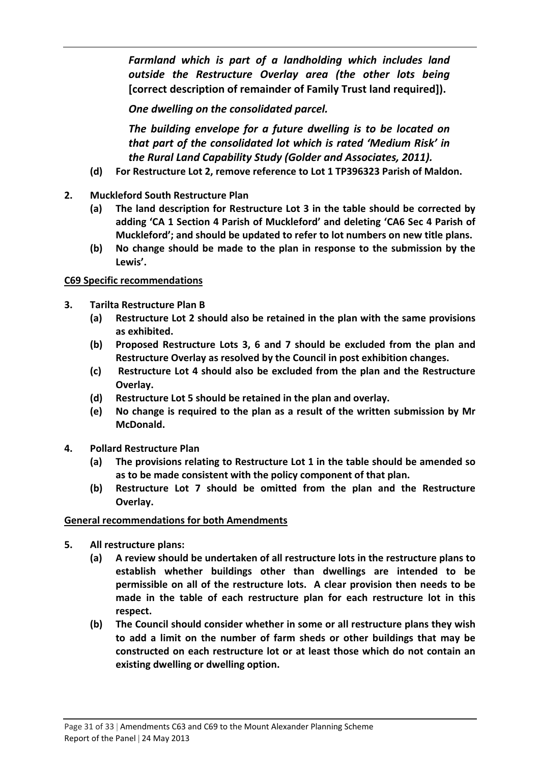*Farmland which is part of a landholding which includes land outside the Restructure Overlay area (the other lots being* **[correct description of remainder of Family Trust land required]).**

*One dwelling on the consolidated parcel.*

*The building envelope for a future dwelling is to be located on that part of the consolidated lot which is rated 'Medium Risk' in the Rural Land Capability Study (Golder and Associates, 2011).*

- **(d) For Restructure Lot 2, remove reference to Lot 1 TP396323 Parish of Maldon.**
- **2. Muckleford South Restructure Plan**
	- **(a) The land description for Restructure Lot 3 in the table should be corrected by adding 'CA 1 Section 4 Parish of Muckleford' and deleting 'CA6 Sec 4 Parish of Muckleford'; and should be updated to refer to lot numbers on new title plans.**
	- **(b) No change should be made to the plan in response to the submission by the Lewis'.**

#### **C69 Specific recommendations**

- **3. Tarilta Restructure Plan B**
	- **(a) Restructure Lot 2 should also be retained in the plan with the same provisions as exhibited.**
	- **(b) Proposed Restructure Lots 3, 6 and 7 should be excluded from the plan and Restructure Overlay as resolved by the Council in post exhibition changes.**
	- **(c) Restructure Lot 4 should also be excluded from the plan and the Restructure Overlay.**
	- **(d) Restructure Lot 5 should be retained in the plan and overlay.**
	- **(e) No change is required to the plan as a result of the written submission by Mr McDonald.**
- **4. Pollard Restructure Plan**
	- **(a) The provisions relating to Restructure Lot 1 in the table should be amended so as to be made consistent with the policy component of that plan.**
	- **(b) Restructure Lot 7 should be omitted from the plan and the Restructure Overlay.**

#### **General recommendations for both Amendments**

- **5. All restructure plans:**
	- **(a) A review should be undertaken of all restructure lots in the restructure plans to establish whether buildings other than dwellings are intended to be permissible on all of the restructure lots. A clear provision then needs to be made in the table of each restructure plan for each restructure lot in this respect.**
	- **(b) The Council should consider whether in some or all restructure plans they wish to add a limit on the number of farm sheds or other buildings that may be constructed on each restructure lot or at least those which do not contain an existing dwelling or dwelling option.**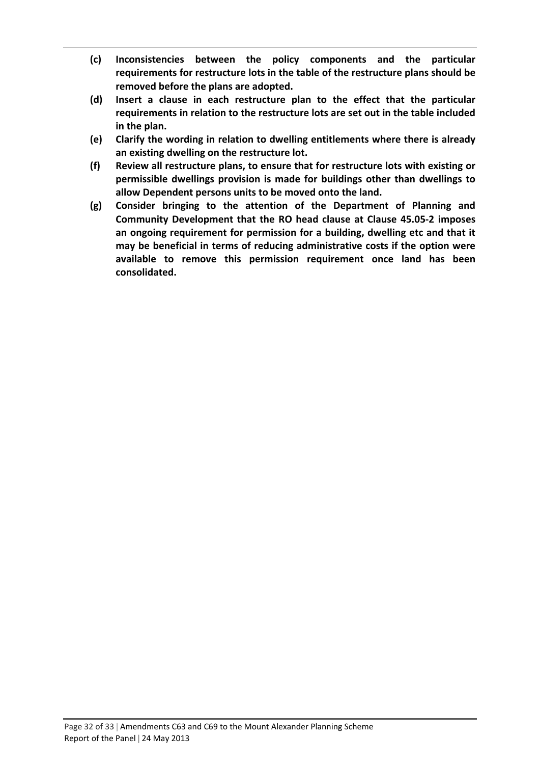- **(c) Inconsistencies between the policy components and the particular requirements for restructure lots in the table of the restructure plans should be removed before the plans are adopted.**
- **(d) Insert a clause in each restructure plan to the effect that the particular requirements in relation to the restructure lots are set out in the table included in the plan.**
- **(e) Clarify the wording in relation to dwelling entitlements where there is already an existing dwelling on the restructure lot.**
- **(f) Review all restructure plans, to ensure that for restructure lots with existing or permissible dwellings provision is made for buildings other than dwellings to allow Dependent persons units to be moved onto the land.**
- **(g) Consider bringing to the attention of the Department of Planning and Community Development that the RO head clause at Clause 45.05‐2 imposes an ongoing requirement for permission for a building, dwelling etc and that it may be beneficial in terms of reducing administrative costs if the option were available to remove this permission requirement once land has been consolidated.**